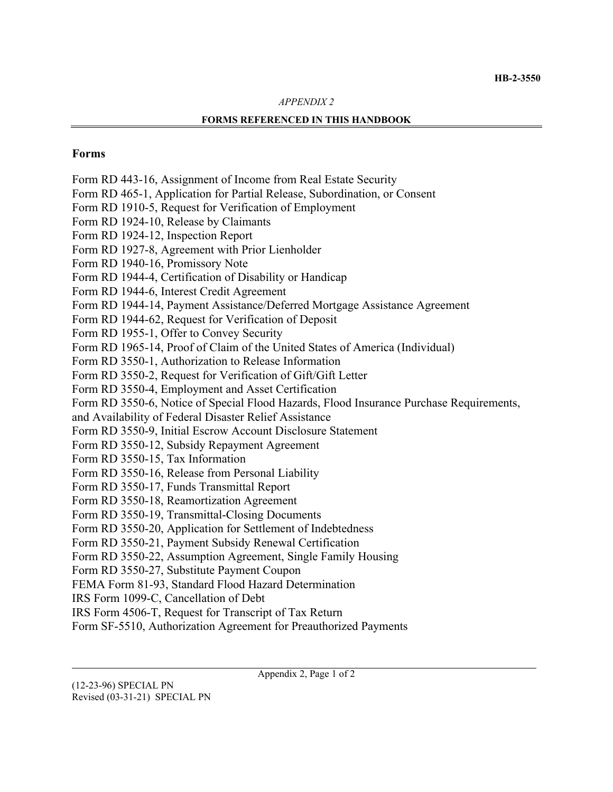#### *APPENDIX 2*

#### **FORMS REFERENCED IN THIS HANDBOOK**

#### **Forms**

Form RD 443-16, Assignment of Income from Real Estate Security Form RD 465-1, Application for Partial Release, Subordination, or Consent Form RD 1910-5, Request for Verification of Employment Form RD 1924-10, Release by Claimants Form RD 1924-12, Inspection Report Form RD 1927-8, Agreement with Prior Lienholder Form RD 1940-16, Promissory Note Form RD 1944-4, Certification of Disability or Handicap Form RD 1944-6, Interest Credit Agreement Form RD 1944-14, Payment Assistance/Deferred Mortgage Assistance Agreement Form RD 1944-62, Request for Verification of Deposit Form RD 1955-1, Offer to Convey Security Form RD 1965-14, Proof of Claim of the United States of America (Individual) Form RD 3550-1, Authorization to Release Information Form RD 3550-2, Request for Verification of Gift/Gift Letter Form RD 3550-4, Employment and Asset Certification Form RD 3550-6, Notice of Special Flood Hazards, Flood Insurance Purchase Requirements, and Availability of Federal Disaster Relief Assistance Form RD 3550-9, Initial Escrow Account Disclosure Statement Form RD 3550-12, Subsidy Repayment Agreement Form RD 3550-15, Tax Information Form RD 3550-16, Release from Personal Liability Form RD 3550-17, Funds Transmittal Report Form RD 3550-18, Reamortization Agreement Form RD 3550-19, Transmittal-Closing Documents Form RD 3550-20, Application for Settlement of Indebtedness Form RD 3550-21, Payment Subsidy Renewal Certification Form RD 3550-22, Assumption Agreement, Single Family Housing Form RD 3550-27, Substitute Payment Coupon FEMA Form 81-93, Standard Flood Hazard Determination IRS Form 1099-C, Cancellation of Debt IRS Form 4506-T, Request for Transcript of Tax Return

Form SF-5510, Authorization Agreement for Preauthorized Payments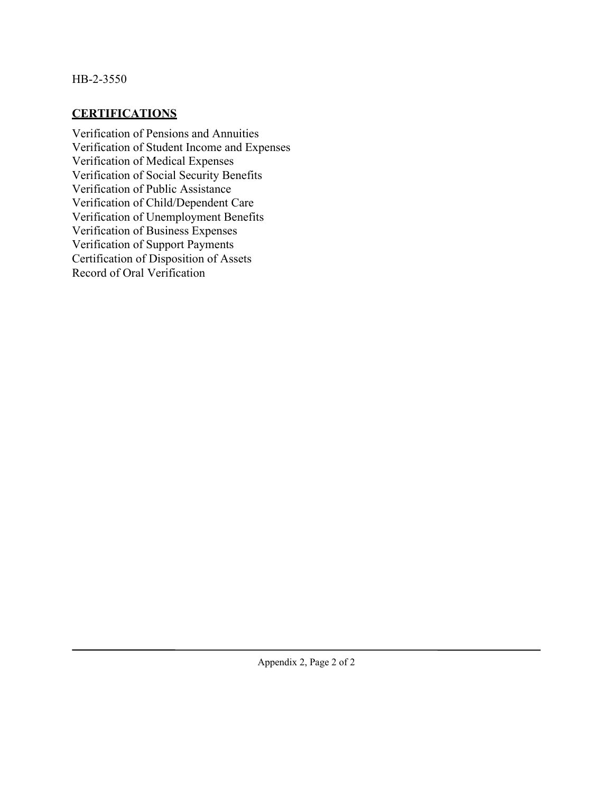### HB-2-3550

# **CERTIFICATIONS**

Verification of Pensions and Annuities Verification of Student Income and Expenses Verification of Medical Expenses Verification of Social Security Benefits Verification of Public Assistance Verification of Child/Dependent Care Verification of Unemployment Benefits Verification of Business Expenses Verification of Support Payments Certification of Disposition of Assets Record of Oral Verification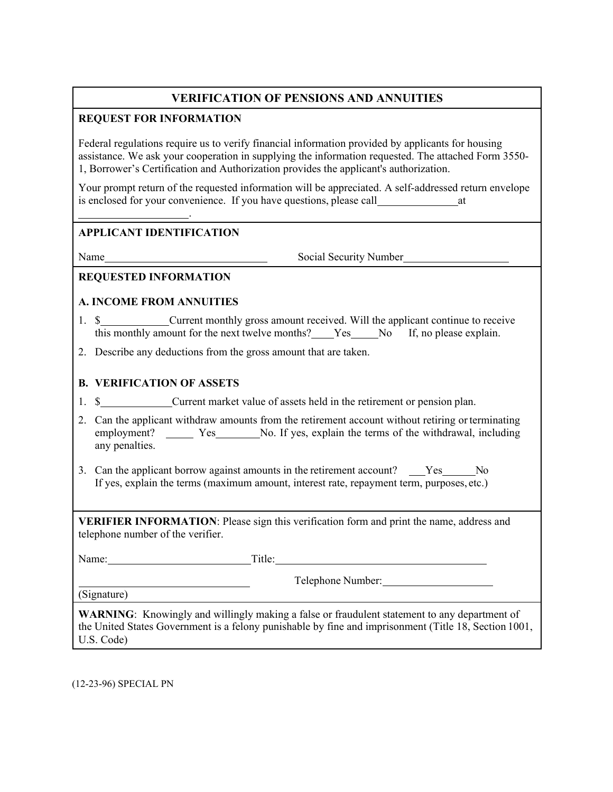# **VERIFICATION OF PENSIONS AND ANNUITIES**

### **REQUEST FOR INFORMATION**

Federal regulations require us to verify financial information provided by applicants for housing assistance. We ask your cooperation in supplying the information requested. The attached Form 3550- 1, Borrower's Certification and Authorization provides the applicant's authorization.

Your prompt return of the requested information will be appreciated. A self-addressed return envelope is enclosed for your convenience. If you have questions, please call at

### **APPLICANT IDENTIFICATION**

.

Name Social Security Number

### **REQUESTED INFORMATION**

### **A. INCOME FROM ANNUITIES**

- 1. \$ Current monthly gross amount received. Will the applicant continue to receive this monthly amount for the next twelve months? Yes No If, no please explain.
- 2. Describe any deductions from the gross amount that are taken.

### **B. VERIFICATION OF ASSETS**

- 1. \$\_\_\_\_\_\_\_\_\_\_\_\_\_\_\_Current market value of assets held in the retirement or pension plan.
- 2. Can the applicant withdraw amounts from the retirement account without retiring orterminating employment? \_\_\_\_\_\_ Yes \_\_\_\_\_\_\_ No. If yes, explain the terms of the withdrawal, including any penalties.
- 3. Can the applicant borrow against amounts in the retirement account? \_\_\_Yes\_\_\_\_No If yes, explain the terms (maximum amount, interest rate, repayment term, purposes, etc.)

**VERIFIER INFORMATION**: Please sign this verification form and print the name, address and telephone number of the verifier.

Name: Title:

Telephone Number:

(Signature)

**WARNING**: Knowingly and willingly making a false or fraudulent statement to any department of the United States Government is a felony punishable by fine and imprisonment (Title 18, Section 1001, U.S. Code)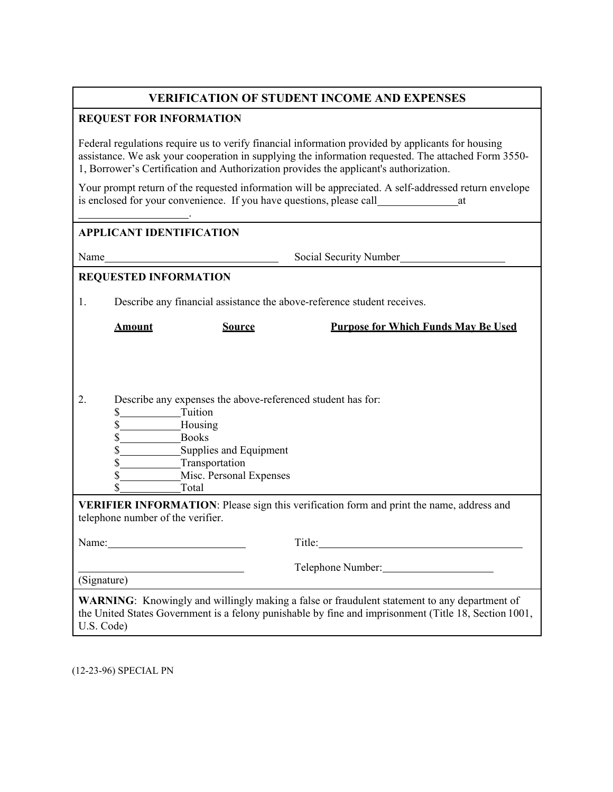# **VERIFICATION OF STUDENT INCOME AND EXPENSES**

### **REQUEST FOR INFORMATION**

Federal regulations require us to verify financial information provided by applicants for housing assistance. We ask your cooperation in supplying the information requested. The attached Form 3550- 1, Borrower's Certification and Authorization provides the applicant's authorization.

Your prompt return of the requested information will be appreciated. A self-addressed return envelope is enclosed for your convenience. If you have questions, please call at

### **APPLICANT IDENTIFICATION**

.

Name Social Security Number

### **REQUESTED INFORMATION**

1. Describe any financial assistance the above-reference student receives.

**Amount Source Purpose for Which Funds May Be Used**

2. Describe any expenses the above-referenced student has for:

| Tuition |
|---------|
| Housing |

|  | 300KS |  |
|--|-------|--|
|  |       |  |

| Supplies and Equipment |
|------------------------|

- \$ Transportation
- \$ Misc. Personal Expenses \$ Total

**VERIFIER INFORMATION**: Please sign this verification form and print the name, address and telephone number of the verifier.

| Name:       | Title:                                                                                                                                                                                                       |
|-------------|--------------------------------------------------------------------------------------------------------------------------------------------------------------------------------------------------------------|
|             | Telephone Number:                                                                                                                                                                                            |
| (Signature) |                                                                                                                                                                                                              |
|             | <b>WARNING:</b> Knowingly and willingly making a false or fraudulent statement to any department of<br>the United States Government is a felony punishable by fine and imprisonment (Title 18, Section 1001, |

U.S. Code)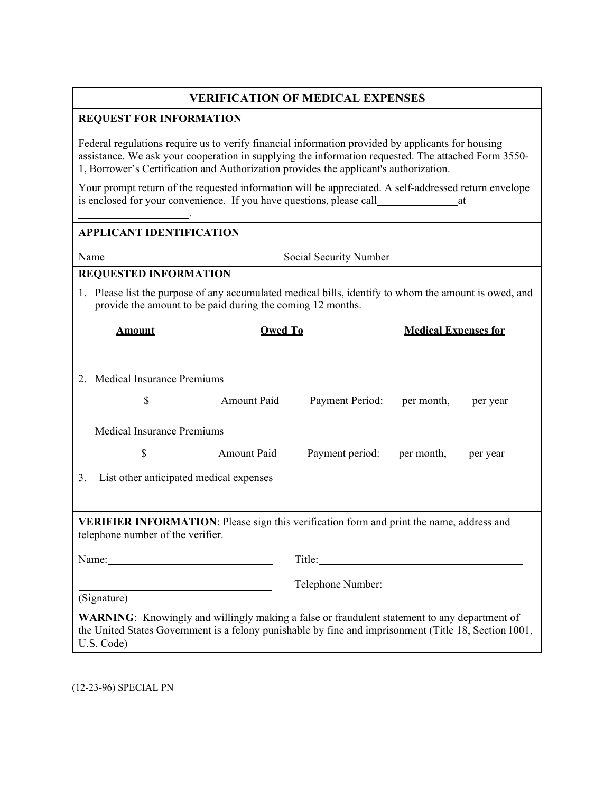# **VERIFICATION OF MEDICAL EXPENSES**

#### **REQUEST FOR INFORMATION**

Federal regulations require us to verify financial information provided by applicants for housing assistance. We ask your cooperation in supplying the information requested. The attached Form 3550- 1, Borrower's Certification and Authorization provides the applicant's authorization.

Your prompt return of the requested information will be appreciated. A self-addressed return envelope is enclosed for your convenience. If you have questions, please call at

#### **APPLICANT IDENTIFICATION**

.

Name
Social Security Number
Social Security Number
Social Security Number
Social Security Number
Social Security Number
Social Security Number
Social Security Number
Social Security Number
Social Security Number
Social Sec

### **REQUESTED INFORMATION**

1. Please list the purpose of any accumulated medical bills, identify to whom the amount is owed, and provide the amount to be paid during the coming 12 months.

| <b>Amount</b>                                                                                                                        | <b>Owed To</b> | <b>Medical Expenses for</b>                                                                                                                                                                                                    |  |
|--------------------------------------------------------------------------------------------------------------------------------------|----------------|--------------------------------------------------------------------------------------------------------------------------------------------------------------------------------------------------------------------------------|--|
| 2. Medical Insurance Premiums                                                                                                        |                |                                                                                                                                                                                                                                |  |
|                                                                                                                                      |                | Payment Period: __ per month, ___ per year                                                                                                                                                                                     |  |
| <b>Medical Insurance Premiums</b>                                                                                                    |                |                                                                                                                                                                                                                                |  |
|                                                                                                                                      |                | Payment period: __ per month, ___ per year                                                                                                                                                                                     |  |
| 3. List other anticipated medical expenses                                                                                           |                |                                                                                                                                                                                                                                |  |
|                                                                                                                                      |                |                                                                                                                                                                                                                                |  |
| <b>VERIFIER INFORMATION:</b> Please sign this verification form and print the name, address and<br>telephone number of the verifier. |                |                                                                                                                                                                                                                                |  |
| Name: $\frac{1}{2}$                                                                                                                  |                | Title: The Commission of the Commission of the Commission of the Commission of the Commission of the Commission of the Commission of the Commission of the Commission of the Commission of the Commission of the Commission of |  |
| <u> 1989 - Johann Barbara, martxa alemaniar a</u><br>(Signature)                                                                     |                | Telephone Number: 1988                                                                                                                                                                                                         |  |
| U.S. Code)                                                                                                                           |                | <b>WARNING:</b> Knowingly and willingly making a false or fraudulent statement to any department of<br>the United States Government is a felony punishable by fine and imprisonment (Title 18, Section 1001,                   |  |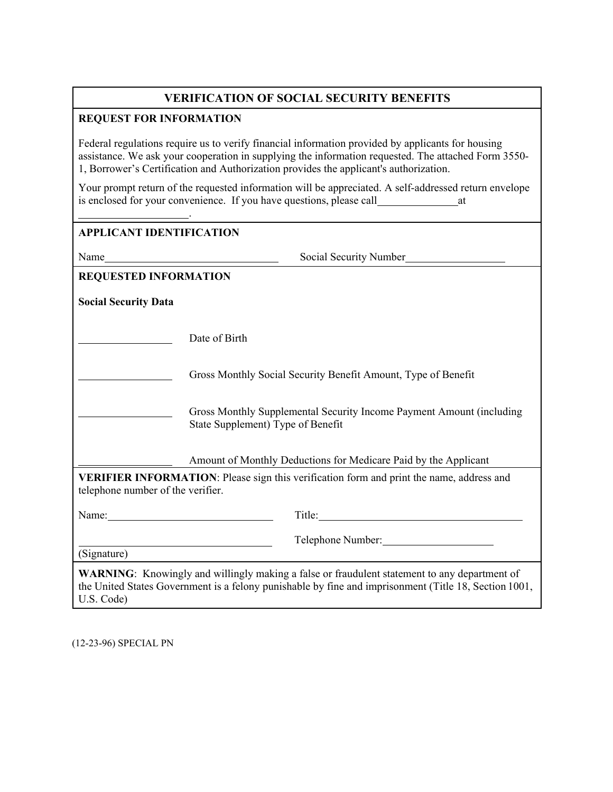# **VERIFICATION OF SOCIAL SECURITY BENEFITS**

#### **REQUEST FOR INFORMATION**

Federal regulations require us to verify financial information provided by applicants for housing assistance. We ask your cooperation in supplying the information requested. The attached Form 3550- 1, Borrower's Certification and Authorization provides the applicant's authorization.

Your prompt return of the requested information will be appreciated. A self-addressed return envelope is enclosed for your convenience. If you have questions, please call

|                                   | <u> 1986 - Jan Stein Stein, fransk politik (d. 1987)</u><br><b>APPLICANT IDENTIFICATION</b>                                                 |
|-----------------------------------|---------------------------------------------------------------------------------------------------------------------------------------------|
|                                   | Social Security Number<br>Name                                                                                                              |
| <b>REQUESTED INFORMATION</b>      |                                                                                                                                             |
| <b>Social Security Data</b>       |                                                                                                                                             |
|                                   | Date of Birth                                                                                                                               |
|                                   | Gross Monthly Social Security Benefit Amount, Type of Benefit                                                                               |
|                                   | Gross Monthly Supplemental Security Income Payment Amount (including<br>State Supplement) Type of Benefit                                   |
|                                   | Amount of Monthly Deductions for Medicare Paid by the Applicant                                                                             |
| telephone number of the verifier. | VERIFIER INFORMATION: Please sign this verification form and print the name, address and                                                    |
|                                   | Name:                                                                                                                                       |
|                                   | Telephone Number:<br><u> 1989 - Johann Stoff, deutscher Stoffen und der Stoffen und der Stoffen und der Stoffen und der Stoffen und der</u> |
| (Signature)                       |                                                                                                                                             |

U.S. Code)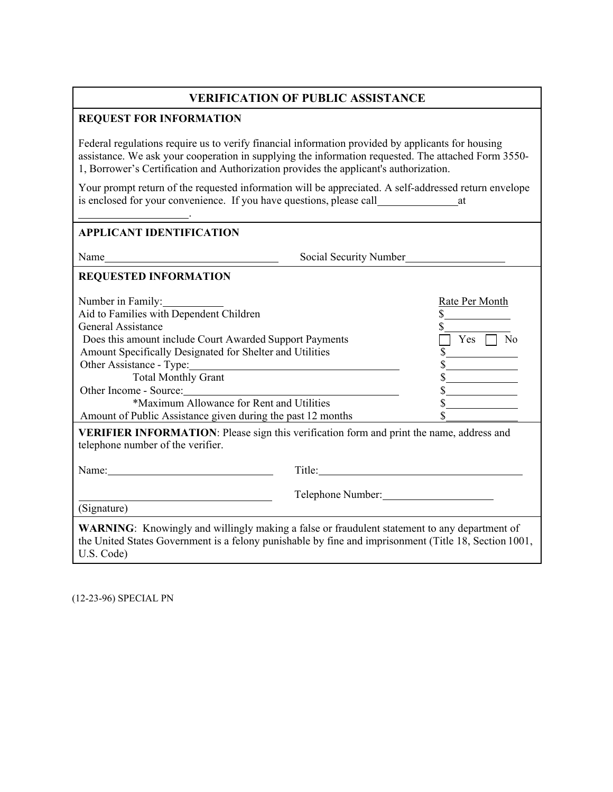# **VERIFICATION OF PUBLIC ASSISTANCE**

#### **REQUEST FOR INFORMATION**

.

Federal regulations require us to verify financial information provided by applicants for housing assistance. We ask your cooperation in supplying the information requested. The attached Form 3550- 1, Borrower's Certification and Authorization provides the applicant's authorization.

Your prompt return of the requested information will be appreciated. A self-addressed return envelope is enclosed for your convenience. If you have questions, please call at

| <b>APPLICANT IDENTIFICATION</b>                                                                                                                                                                                                                                                                                                                                                                                       |                                                                                                                                                                                                       |
|-----------------------------------------------------------------------------------------------------------------------------------------------------------------------------------------------------------------------------------------------------------------------------------------------------------------------------------------------------------------------------------------------------------------------|-------------------------------------------------------------------------------------------------------------------------------------------------------------------------------------------------------|
| $Name_$                                                                                                                                                                                                                                                                                                                                                                                                               | Social Security Number                                                                                                                                                                                |
| <b>REQUESTED INFORMATION</b>                                                                                                                                                                                                                                                                                                                                                                                          |                                                                                                                                                                                                       |
| Number in Family:<br>Aid to Families with Dependent Children<br><b>General Assistance</b><br>Does this amount include Court Awarded Support Payments<br>Amount Specifically Designated for Shelter and Utilities<br>Other Assistance - Type: 2008<br><b>Total Monthly Grant</b><br>Other Income - Source:<br>*Maximum Allowance for Rent and Utilities<br>Amount of Public Assistance given during the past 12 months | Rate Per Month<br>$\top$ Yes $\Box$ No<br>$\frac{1}{2}$<br><b>VERIFIER INFORMATION:</b> Please sign this verification form and print the name, address and                                            |
| telephone number of the verifier.                                                                                                                                                                                                                                                                                                                                                                                     | Title: Title:                                                                                                                                                                                         |
| (Signature)                                                                                                                                                                                                                                                                                                                                                                                                           | Telephone Number:                                                                                                                                                                                     |
| U.S. Code)                                                                                                                                                                                                                                                                                                                                                                                                            | WARNING: Knowingly and willingly making a false or fraudulent statement to any department of<br>the United States Government is a felony punishable by fine and imprisonment (Title 18, Section 1001, |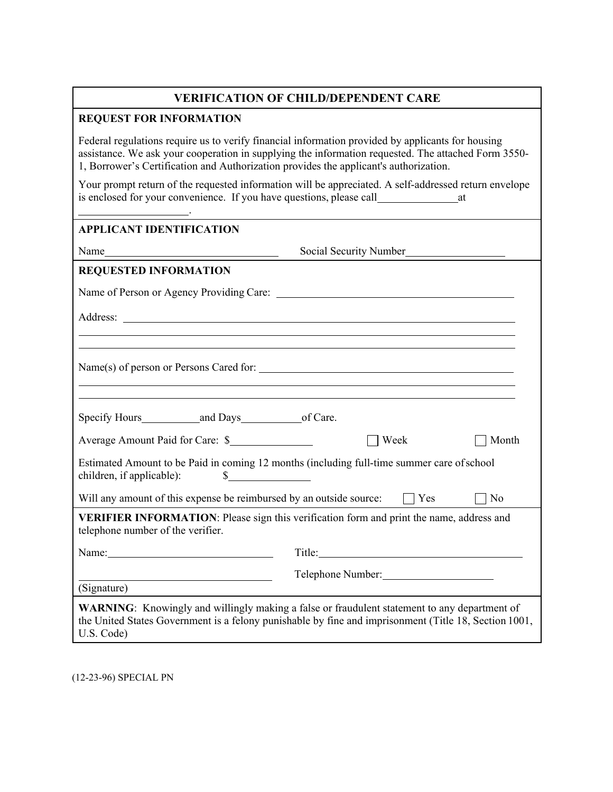# **VERIFICATION OF CHILD/DEPENDENT CARE**

### **REQUEST FOR INFORMATION**

Federal regulations require us to verify financial information provided by applicants for housing assistance. We ask your cooperation in supplying the information requested. The attached Form 3550- 1, Borrower's Certification and Authorization provides the applicant's authorization.

Your prompt return of the requested information will be appreciated. A self-addressed return envelope is enclosed for your convenience. If you have questions, please call

| <b>APPLICANT IDENTIFICATION</b>                   |                                                                                                                    |                |
|---------------------------------------------------|--------------------------------------------------------------------------------------------------------------------|----------------|
|                                                   | Social Security Number                                                                                             |                |
| <b>REQUESTED INFORMATION</b>                      |                                                                                                                    |                |
|                                                   |                                                                                                                    |                |
|                                                   |                                                                                                                    |                |
|                                                   |                                                                                                                    |                |
|                                                   | ,我们也不会有一个人的人,我们也不会有一个人的人,我们也不会有一个人的人,我们也不会有一个人的人,我们也不会有一个人的人。""我们的人,我们也不会有一个人的人,我                                  |                |
|                                                   |                                                                                                                    |                |
| Average Amount Paid for Care: \$                  | $\Box$ Week                                                                                                        | Month          |
| children, if applicable):                         | Estimated Amount to be Paid in coming 12 months (including full-time summer care of school<br>$\frac{\sqrt{2}}{2}$ |                |
|                                                   | Will any amount of this expense be reimbursed by an outside source: $\Box$ Yes                                     | N <sub>o</sub> |
| telephone number of the verifier.                 | VERIFIER INFORMATION: Please sign this verification form and print the name, address and                           |                |
|                                                   | Title: Title:                                                                                                      |                |
| <u> 1989 - Johann Barbara, martxa alemaniar a</u> | Telephone Number:                                                                                                  |                |
| (Signature)                                       |                                                                                                                    |                |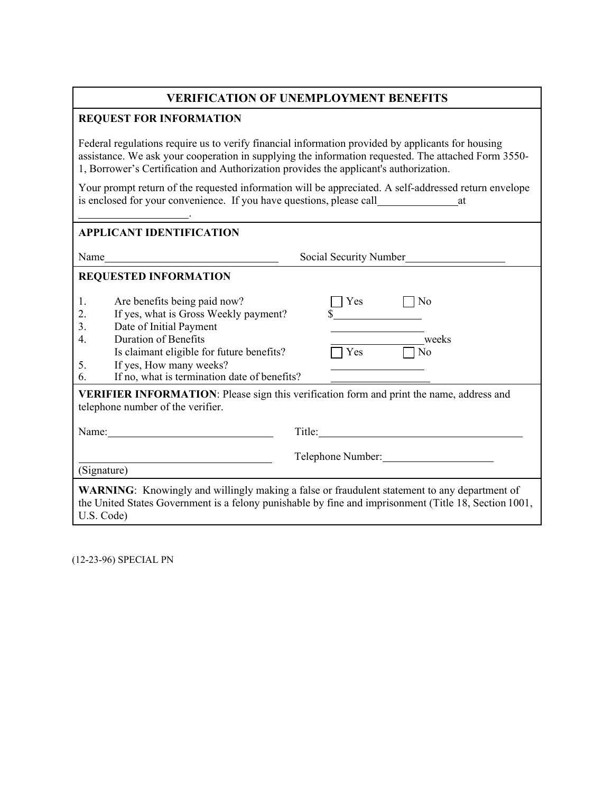# **VERIFICATION OF UNEMPLOYMENT BENEFITS**

### **REQUEST FOR INFORMATION**

.

Federal regulations require us to verify financial information provided by applicants for housing assistance. We ask your cooperation in supplying the information requested. The attached Form 3550- 1, Borrower's Certification and Authorization provides the applicant's authorization.

Your prompt return of the requested information will be appreciated. A self-addressed return envelope is enclosed for your convenience. If you have questions, please call at

| <b>APPLICANT IDENTIFICATION</b>                                                                                                                                                                                                                                                                                                                                                                                              |                                 |
|------------------------------------------------------------------------------------------------------------------------------------------------------------------------------------------------------------------------------------------------------------------------------------------------------------------------------------------------------------------------------------------------------------------------------|---------------------------------|
|                                                                                                                                                                                                                                                                                                                                                                                                                              |                                 |
| <b>REQUESTED INFORMATION</b>                                                                                                                                                                                                                                                                                                                                                                                                 |                                 |
| 1.<br>Are benefits being paid now?<br>If yes, what is Gross Weekly payment?<br>2.<br>3.<br>Date of Initial Payment<br><b>Duration of Benefits</b><br>4.<br>Is claimant eligible for future benefits?<br>If yes, How many weeks?<br>5.<br>If no, what is termination date of benefits?<br>6.<br>VERIFIER INFORMATION: Please sign this verification form and print the name, address and<br>telephone number of the verifier. | Yes<br>No<br>weeks<br>Yes<br>No |
| Name: $\frac{1}{\sqrt{1-\frac{1}{2}}\sqrt{1-\frac{1}{2}}\left(\frac{1}{2}-\frac{1}{2}\right)}$                                                                                                                                                                                                                                                                                                                               |                                 |
| (Signature)                                                                                                                                                                                                                                                                                                                                                                                                                  | Telephone Number:               |
| <b>WARNING:</b> Knowingly and willingly making a false or fraudulent statement to any department of<br>the United States Government is a felony punishable by fine and imprisonment (Title 18, Section 1001,<br>U.S. Code)                                                                                                                                                                                                   |                                 |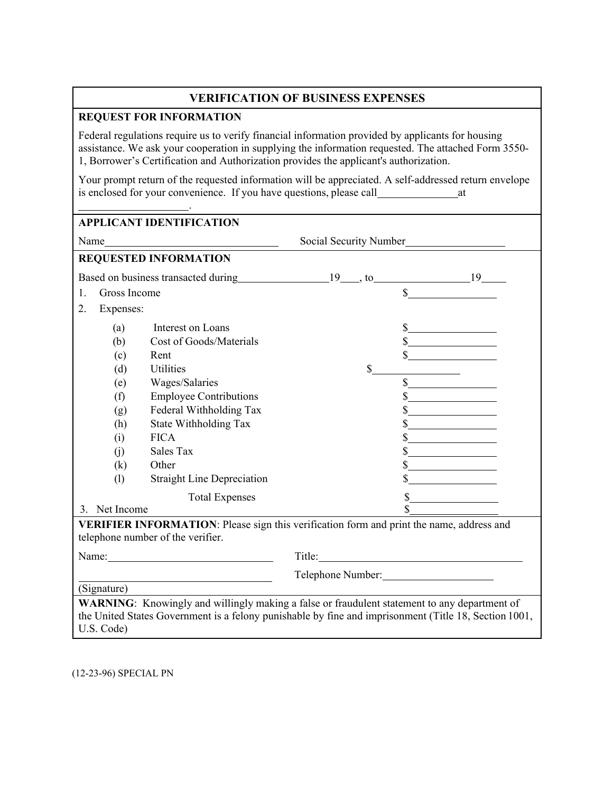# **VERIFICATION OF BUSINESS EXPENSES**

### **REQUEST FOR INFORMATION**

Federal regulations require us to verify financial information provided by applicants for housing assistance. We ask your cooperation in supplying the information requested. The attached Form 3550- 1, Borrower's Certification and Authorization provides the applicant's authorization.

Your prompt return of the requested information will be appreciated. A self-addressed return envelope is enclosed for your convenience. If you have questions, please call at

| Name               | <u> 1989 - Johann Barbara, martin eta politikar</u>                                      |    |                             |
|--------------------|------------------------------------------------------------------------------------------|----|-----------------------------|
|                    |                                                                                          |    | Social Security Number      |
|                    | <b>REQUESTED INFORMATION</b>                                                             |    |                             |
|                    |                                                                                          |    |                             |
| Gross Income<br>1. |                                                                                          |    | $\mathbb{S}$                |
| 2.<br>Expenses:    |                                                                                          |    |                             |
| (a)                | Interest on Loans                                                                        |    |                             |
| (b)                | Cost of Goods/Materials                                                                  |    |                             |
| (c)                | Rent                                                                                     |    |                             |
| (d)                | <b>Utilities</b>                                                                         | \$ |                             |
| (e)                | Wages/Salaries                                                                           |    | $\mathbb{S}$                |
| (f)                | <b>Employee Contributions</b>                                                            |    | $\frac{1}{2}$               |
| (g)                | Federal Withholding Tax                                                                  |    | $\frac{1}{2}$               |
| (h)                | State Withholding Tax                                                                    |    | $\frac{\text{S}}{\text{S}}$ |
| (i)                | <b>FICA</b>                                                                              |    | $\sim$                      |
| (i)                | Sales Tax                                                                                |    | $\sim$                      |
| (k)                | Other                                                                                    |    | $\frac{\text{S}}{\text{S}}$ |
| (1)                | <b>Straight Line Depreciation</b>                                                        |    |                             |
|                    | <b>Total Expenses</b>                                                                    |    | \$                          |
| 3. Net Income      |                                                                                          |    |                             |
|                    | VERIFIER INFORMATION: Please sign this verification form and print the name, address and |    |                             |
|                    | telephone number of the verifier.                                                        |    |                             |
|                    | Name:                                                                                    |    |                             |
|                    |                                                                                          |    | Telephone Number:           |
| (Signature)        |                                                                                          |    |                             |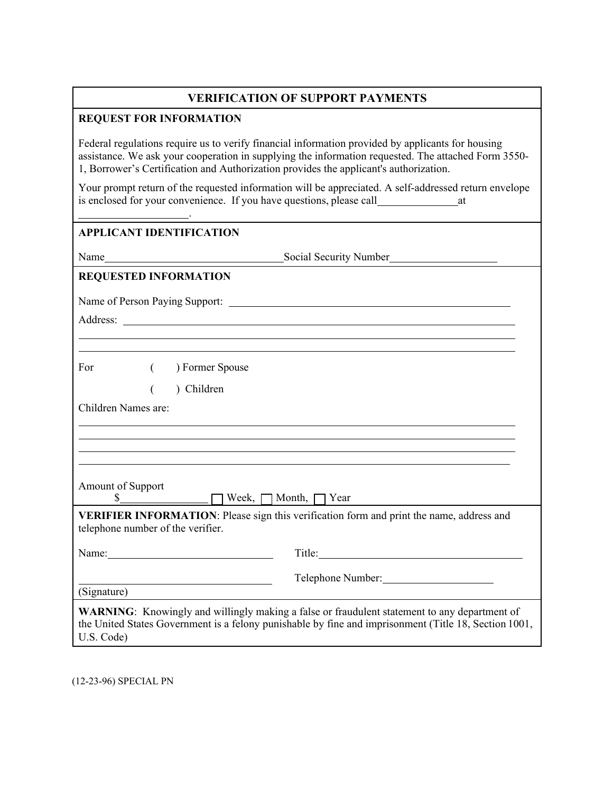# **VERIFICATION OF SUPPORT PAYMENTS**

#### **REQUEST FOR INFORMATION**

Federal regulations require us to verify financial information provided by applicants for housing assistance. We ask your cooperation in supplying the information requested. The attached Form 3550- 1, Borrower's Certification and Authorization provides the applicant's authorization.

Your prompt return of the requested information will be appreciated. A self-addressed return envelope is enclosed for your convenience. If you have questions, please call at

### **APPLICANT IDENTIFICATION**

.

Name
Social Security Number
Social Security Number
Social Security Number
Social Security Number
Social Security Number
Social Security Number
Social Security Number

Social Security Number

Social Security Number

Social

# **REQUESTED INFORMATION**

Name of Person Paying Support:

Address: and the state of the state of the state of the state of the state of the state of the state of the state of the state of the state of the state of the state of the state of the state of the state of the state of t

For  $($  ) Former Spouse

( ) Children

Children Names are:

Amount of Support

 $\mathcal{S}$  Week,  $\Box$  Month,  $\Box$  Year

**VERIFIER INFORMATION**: Please sign this verification form and print the name, address and telephone number of the verifier.

| Name:       | Title:                                                                                                                                                                                                       |  |
|-------------|--------------------------------------------------------------------------------------------------------------------------------------------------------------------------------------------------------------|--|
|             | Telephone Number:                                                                                                                                                                                            |  |
| (Signature) |                                                                                                                                                                                                              |  |
| U.S. Code)  | <b>WARNING:</b> Knowingly and willingly making a false or fraudulent statement to any department of<br>the United States Government is a felony punishable by fine and imprisonment (Title 18, Section 1001, |  |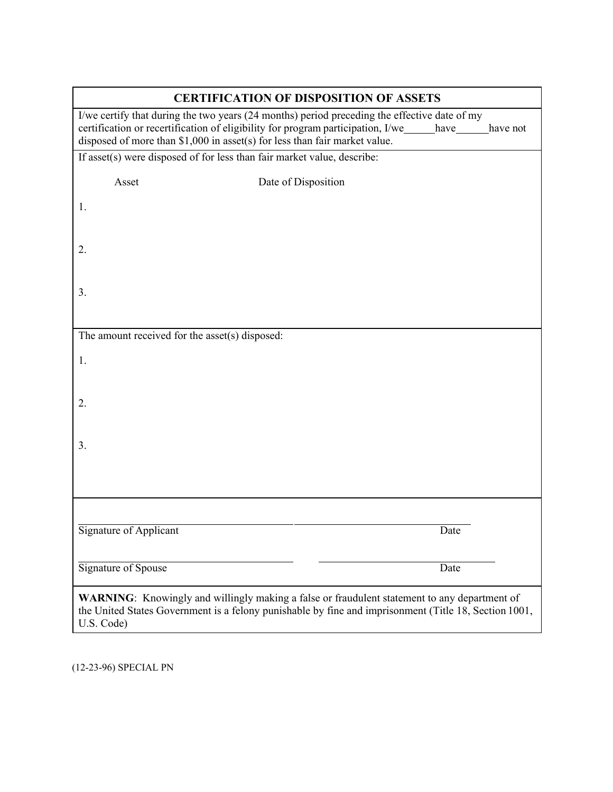| <b>CERTIFICATION OF DISPOSITION OF ASSETS</b>  |                                                                                                                                                                                                                                                                                    |      |  |
|------------------------------------------------|------------------------------------------------------------------------------------------------------------------------------------------------------------------------------------------------------------------------------------------------------------------------------------|------|--|
|                                                | I/we certify that during the two years (24 months) period preceding the effective date of my<br>certification or recertification of eligibility for program participation, I/we_____have____have not<br>disposed of more than \$1,000 in asset(s) for less than fair market value. |      |  |
|                                                | If asset(s) were disposed of for less than fair market value, describe:                                                                                                                                                                                                            |      |  |
| Asset                                          | Date of Disposition                                                                                                                                                                                                                                                                |      |  |
| 1.                                             |                                                                                                                                                                                                                                                                                    |      |  |
| 2.                                             |                                                                                                                                                                                                                                                                                    |      |  |
| 3.                                             |                                                                                                                                                                                                                                                                                    |      |  |
| The amount received for the asset(s) disposed: |                                                                                                                                                                                                                                                                                    |      |  |
| 1.                                             |                                                                                                                                                                                                                                                                                    |      |  |
| 2.                                             |                                                                                                                                                                                                                                                                                    |      |  |
| 3.                                             |                                                                                                                                                                                                                                                                                    |      |  |
|                                                |                                                                                                                                                                                                                                                                                    |      |  |
|                                                |                                                                                                                                                                                                                                                                                    |      |  |
| Signature of Applicant                         |                                                                                                                                                                                                                                                                                    | Date |  |
| Signature of Spouse                            |                                                                                                                                                                                                                                                                                    | Date |  |
| U.S. Code)                                     | WARNING: Knowingly and willingly making a false or fraudulent statement to any department of<br>the United States Government is a felony punishable by fine and imprisonment (Title 18, Section 1001,                                                                              |      |  |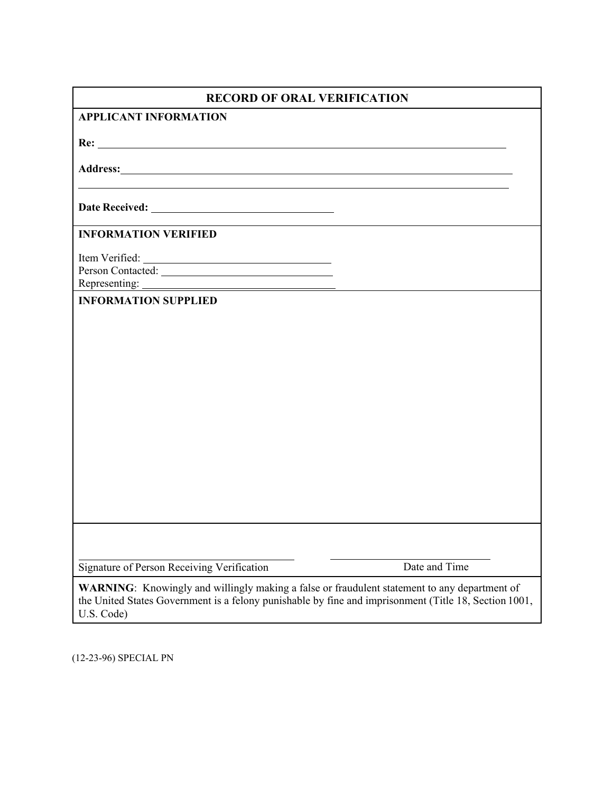| <b>RECORD OF ORAL VERIFICATION</b>                                                                                                                                                                                  |               |
|---------------------------------------------------------------------------------------------------------------------------------------------------------------------------------------------------------------------|---------------|
| <b>APPLICANT INFORMATION</b>                                                                                                                                                                                        |               |
|                                                                                                                                                                                                                     |               |
|                                                                                                                                                                                                                     |               |
|                                                                                                                                                                                                                     |               |
| <b>INFORMATION VERIFIED</b>                                                                                                                                                                                         |               |
| Person Contacted:                                                                                                                                                                                                   |               |
| <b>INFORMATION SUPPLIED</b>                                                                                                                                                                                         |               |
|                                                                                                                                                                                                                     |               |
|                                                                                                                                                                                                                     |               |
|                                                                                                                                                                                                                     |               |
|                                                                                                                                                                                                                     |               |
|                                                                                                                                                                                                                     |               |
|                                                                                                                                                                                                                     |               |
|                                                                                                                                                                                                                     |               |
|                                                                                                                                                                                                                     |               |
|                                                                                                                                                                                                                     |               |
|                                                                                                                                                                                                                     |               |
| Signature of Person Receiving Verification                                                                                                                                                                          | Date and Time |
| WARNING: Knowingly and willingly making a false or fraudulent statement to any department of<br>the United States Government is a felony punishable by fine and imprisonment (Title 18, Section 1001,<br>U.S. Code) |               |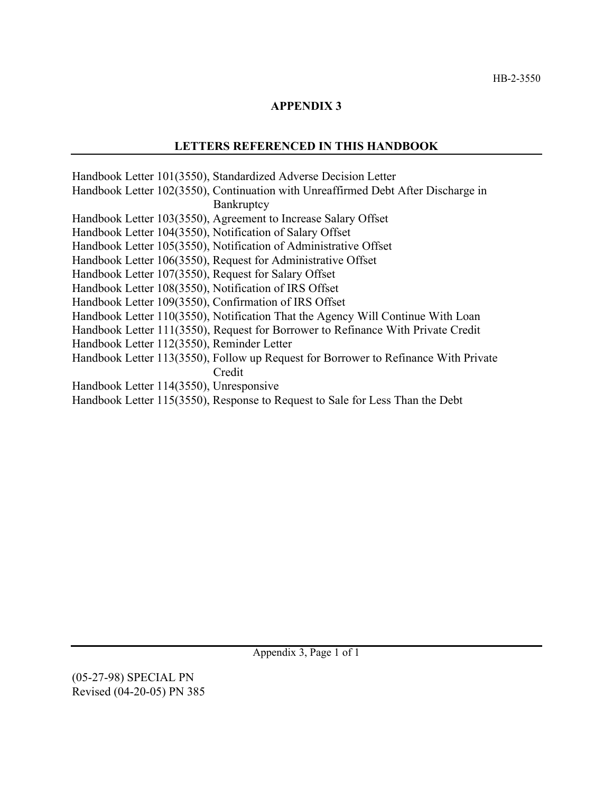### **APPENDIX 3**

### **LETTERS REFERENCED IN THIS HANDBOOK**

Handbook Letter 101(3550), Standardized Adverse Decision Letter Handbook Letter 102(3550), Continuation with Unreaffirmed Debt After Discharge in Bankruptcy Handbook Letter 103(3550), Agreement to Increase Salary Offset Handbook Letter 104(3550), Notification of Salary Offset Handbook Letter 105(3550), Notification of Administrative Offset Handbook Letter 106(3550), Request for Administrative Offset Handbook Letter 107(3550), Request for Salary Offset Handbook Letter 108(3550), Notification of IRS Offset Handbook Letter 109(3550), Confirmation of IRS Offset Handbook Letter 110(3550), Notification That the Agency Will Continue With Loan Handbook Letter 111(3550), Request for Borrower to Refinance With Private Credit Handbook Letter 112(3550), Reminder Letter Handbook Letter 113(3550), Follow up Request for Borrower to Refinance With Private Credit Handbook Letter 114(3550), Unresponsive Handbook Letter 115(3550), Response to Request to Sale for Less Than the Debt

Appendix 3, Page 1 of 1

(05-27-98) SPECIAL PN Revised (04-20-05) PN 385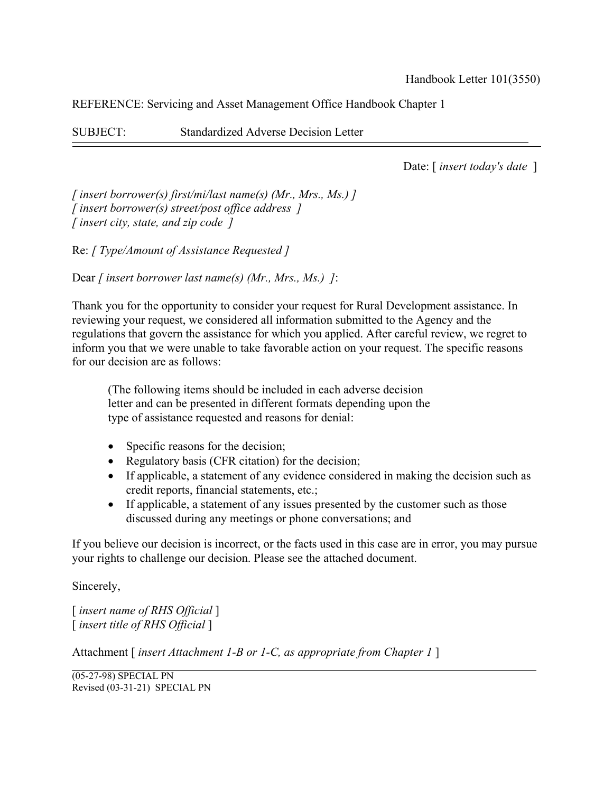SUBJECT: Standardized Adverse Decision Letter

Date: [ *insert today's date* ]

*[ insert borrower(s) first/mi/last name(s) (Mr., Mrs., Ms.) ] [ insert borrower(s) street/post office address ] [ insert city, state, and zip code ]*

Re: *[ Type/Amount of Assistance Requested ]*

Dear *[ insert borrower last name(s) (Mr., Mrs., Ms.) ]*:

Thank you for the opportunity to consider your request for Rural Development assistance. In reviewing your request, we considered all information submitted to the Agency and the regulations that govern the assistance for which you applied. After careful review, we regret to inform you that we were unable to take favorable action on your request. The specific reasons for our decision are as follows:

(The following items should be included in each adverse decision letter and can be presented in different formats depending upon the type of assistance requested and reasons for denial:

- Specific reasons for the decision;
- Regulatory basis (CFR citation) for the decision;
- If applicable, a statement of any evidence considered in making the decision such as credit reports, financial statements, etc.;
- If applicable, a statement of any issues presented by the customer such as those discussed during any meetings or phone conversations; and

If you believe our decision is incorrect, or the facts used in this case are in error, you may pursue your rights to challenge our decision. Please see the attached document.

Sincerely,

[ *insert name of RHS Official* ] [ *insert title of RHS Official* ]

Attachment [ *insert Attachment 1-B or 1-C, as appropriate from Chapter 1* ]

(05-27-98) SPECIAL PN Revised (03-31-21) SPECIAL PN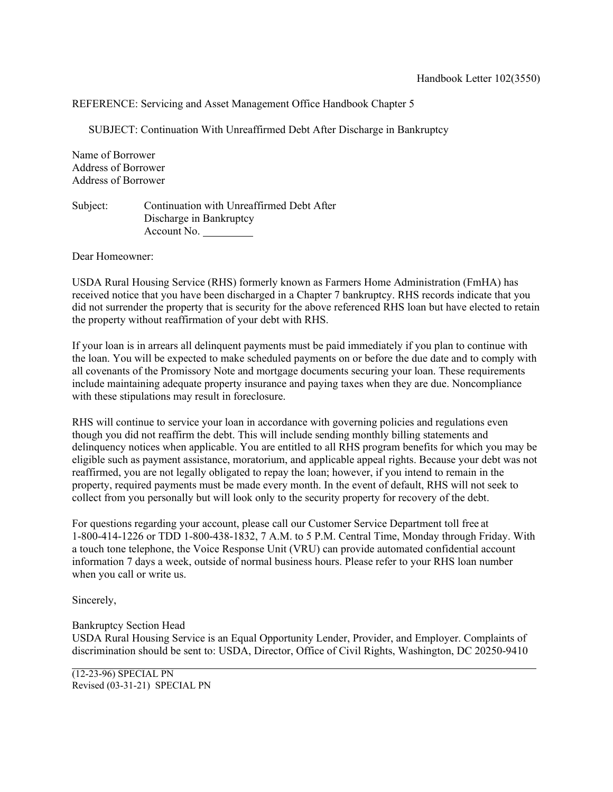SUBJECT: Continuation With Unreaffirmed Debt After Discharge in Bankruptcy

Name of Borrower Address of Borrower Address of Borrower

Subject: Continuation with Unreaffirmed Debt After Discharge in Bankruptcy Account No.

Dear Homeowner:

USDA Rural Housing Service (RHS) formerly known as Farmers Home Administration (FmHA) has received notice that you have been discharged in a Chapter 7 bankruptcy. RHS records indicate that you did not surrender the property that is security for the above referenced RHS loan but have elected to retain the property without reaffirmation of your debt with RHS.

If your loan is in arrears all delinquent payments must be paid immediately if you plan to continue with the loan. You will be expected to make scheduled payments on or before the due date and to comply with all covenants of the Promissory Note and mortgage documents securing your loan. These requirements include maintaining adequate property insurance and paying taxes when they are due. Noncompliance with these stipulations may result in foreclosure.

RHS will continue to service your loan in accordance with governing policies and regulations even though you did not reaffirm the debt. This will include sending monthly billing statements and delinquency notices when applicable. You are entitled to all RHS program benefits for which you may be eligible such as payment assistance, moratorium, and applicable appeal rights. Because your debt was not reaffirmed, you are not legally obligated to repay the loan; however, if you intend to remain in the property, required payments must be made every month. In the event of default, RHS will not seek to collect from you personally but will look only to the security property for recovery of the debt.

For questions regarding your account, please call our Customer Service Department toll free at 1-800-414-1226 or TDD 1-800-438-1832, 7 A.M. to 5 P.M. Central Time, Monday through Friday. With a touch tone telephone, the Voice Response Unit (VRU) can provide automated confidential account information 7 days a week, outside of normal business hours. Please refer to your RHS loan number when you call or write us.

Sincerely,

Bankruptcy Section Head USDA Rural Housing Service is an Equal Opportunity Lender, Provider, and Employer. Complaints of discrimination should be sent to: USDA, Director, Office of Civil Rights, Washington, DC 20250-9410

(12-23-96) SPECIAL PN Revised (03-31-21) SPECIAL PN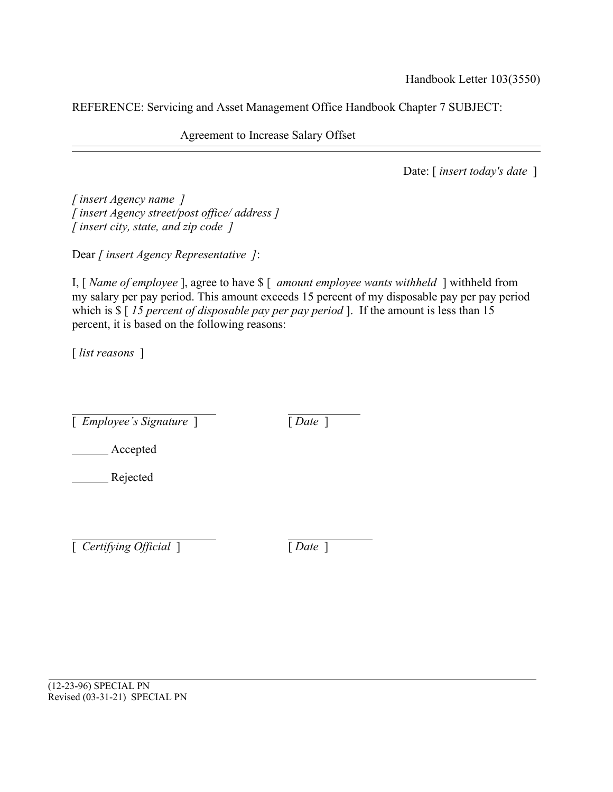Agreement to Increase Salary Offset

Date: [ *insert today's date* ]

*[ insert Agency name ] [ insert Agency street/post office/ address ] [ insert city, state, and zip code ]*

Dear *[ insert Agency Representative ]*:

I, [ *Name of employee* ], agree to have \$ [ *amount employee wants withheld* ] withheld from my salary per pay period. This amount exceeds 15 percent of my disposable pay per pay period which is \$ [ *15 percent of disposable pay per pay period* ]. If the amount is less than 15 percent, it is based on the following reasons:

[ *list reasons* ]

[ *Employee's Signature* ] [ *Date* ]

Accepted

Rejected

[ *Certifying Official* ] [ *Date* ]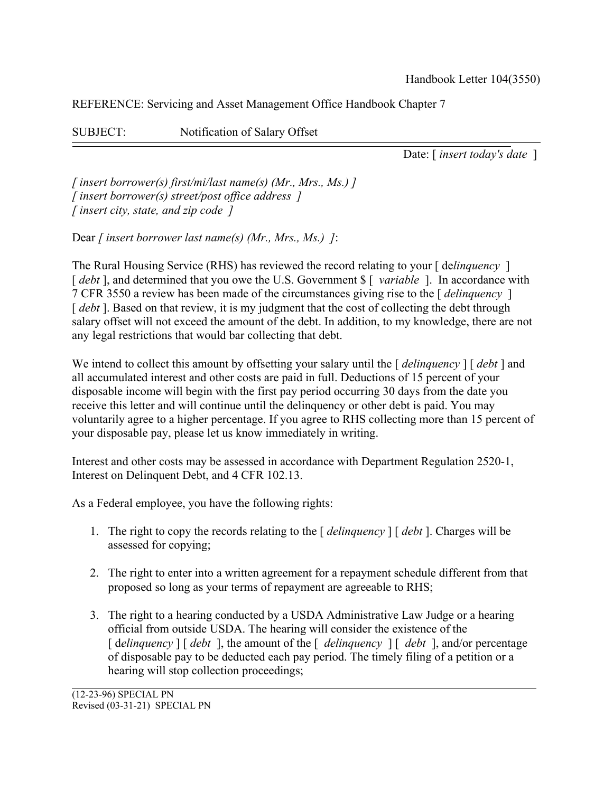SUBJECT: Notification of Salary Offset

Date: [ *insert today's date* ]

*[ insert borrower(s) first/mi/last name(s) (Mr., Mrs., Ms.) ] [ insert borrower(s) street/post office address ] [ insert city, state, and zip code ]*

Dear *[ insert borrower last name(s) (Mr., Mrs., Ms.) ]*:

The Rural Housing Service (RHS) has reviewed the record relating to your [ de*linquency* ] [  $debt$  ], and determined that you owe the U.S. Government \$ [ *variable* ]. In accordance with 7 CFR 3550 a review has been made of the circumstances giving rise to the [ *delinquency* ] [ *debt* ]. Based on that review, it is my judgment that the cost of collecting the debt through salary offset will not exceed the amount of the debt. In addition, to my knowledge, there are not any legal restrictions that would bar collecting that debt.

We intend to collect this amount by offsetting your salary until the [ *delinquency* ] [ *debt* ] and all accumulated interest and other costs are paid in full. Deductions of 15 percent of your disposable income will begin with the first pay period occurring 30 days from the date you receive this letter and will continue until the delinquency or other debt is paid. You may voluntarily agree to a higher percentage. If you agree to RHS collecting more than 15 percent of your disposable pay, please let us know immediately in writing.

Interest and other costs may be assessed in accordance with Department Regulation 2520-1, Interest on Delinquent Debt, and 4 CFR 102.13.

As a Federal employee, you have the following rights:

- 1. The right to copy the records relating to the [ *delinquency* ] [ *debt* ]. Charges will be assessed for copying;
- 2. The right to enter into a written agreement for a repayment schedule different from that proposed so long as your terms of repayment are agreeable to RHS;
- 3. The right to a hearing conducted by a USDA Administrative Law Judge or a hearing official from outside USDA. The hearing will consider the existence of the [ d*elinquency* ] [ *debt* ], the amount of the [ *delinquency* ] [ *debt* ], and/or percentage of disposable pay to be deducted each pay period. The timely filing of a petition or a hearing will stop collection proceedings;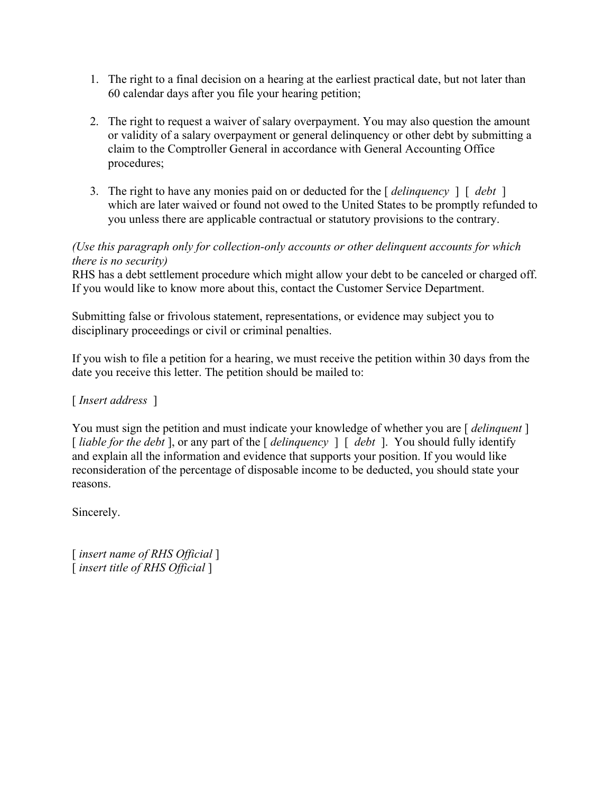- 1. The right to a final decision on a hearing at the earliest practical date, but not later than 60 calendar days after you file your hearing petition;
- 2. The right to request a waiver of salary overpayment. You may also question the amount or validity of a salary overpayment or general delinquency or other debt by submitting a claim to the Comptroller General in accordance with General Accounting Office procedures;
- 3. The right to have any monies paid on or deducted for the [ *delinquency* ] [ *debt* ] which are later waived or found not owed to the United States to be promptly refunded to you unless there are applicable contractual or statutory provisions to the contrary.

# *(Use this paragraph only for collection-only accounts or other delinquent accounts for which there is no security)*

RHS has a debt settlement procedure which might allow your debt to be canceled or charged off. If you would like to know more about this, contact the Customer Service Department.

Submitting false or frivolous statement, representations, or evidence may subject you to disciplinary proceedings or civil or criminal penalties.

If you wish to file a petition for a hearing, we must receive the petition within 30 days from the date you receive this letter. The petition should be mailed to:

[ *Insert address* ]

You must sign the petition and must indicate your knowledge of whether you are [ *delinquent* ] [ *liable for the debt* ], or any part of the [ *delinquency* ] [ *debt* ]. You should fully identify and explain all the information and evidence that supports your position. If you would like reconsideration of the percentage of disposable income to be deducted, you should state your reasons.

Sincerely.

[ *insert name of RHS Official* ] [ *insert title of RHS Official* ]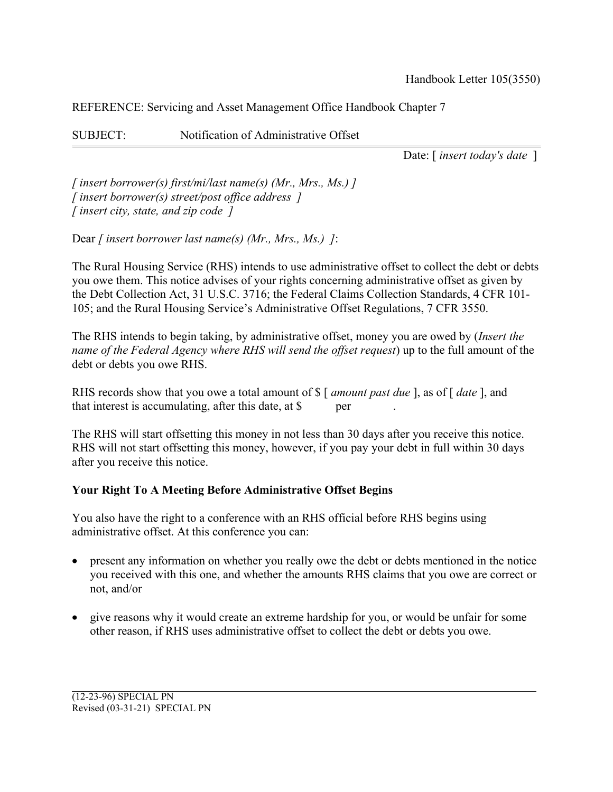SUBJECT: Notification of Administrative Offset

Date: [ *insert today's date* ]

*[ insert borrower(s) first/mi/last name(s) (Mr., Mrs., Ms.) ] [ insert borrower(s) street/post office address ] [ insert city, state, and zip code ]*

Dear *[ insert borrower last name(s) (Mr., Mrs., Ms.) ]*:

The Rural Housing Service (RHS) intends to use administrative offset to collect the debt or debts you owe them. This notice advises of your rights concerning administrative offset as given by the Debt Collection Act, 31 U.S.C. 3716; the Federal Claims Collection Standards, 4 CFR 101- 105; and the Rural Housing Service's Administrative Offset Regulations, 7 CFR 3550.

The RHS intends to begin taking, by administrative offset, money you are owed by (*Insert the name of the Federal Agency where RHS will send the offset request*) up to the full amount of the debt or debts you owe RHS.

RHS records show that you owe a total amount of \$ [ *amount past due* ], as of [ *date* ], and that interest is accumulating, after this date, at  $\beta$  per

The RHS will start offsetting this money in not less than 30 days after you receive this notice. RHS will not start offsetting this money, however, if you pay your debt in full within 30 days after you receive this notice.

# **Your Right To A Meeting Before Administrative Offset Begins**

You also have the right to a conference with an RHS official before RHS begins using administrative offset. At this conference you can:

- present any information on whether you really owe the debt or debts mentioned in the notice you received with this one, and whether the amounts RHS claims that you owe are correct or not, and/or
- give reasons why it would create an extreme hardship for you, or would be unfair for some other reason, if RHS uses administrative offset to collect the debt or debts you owe.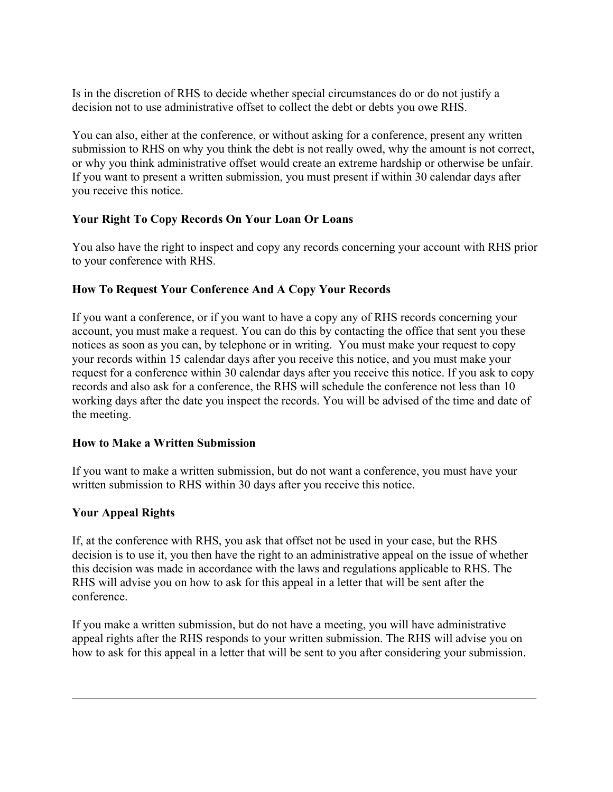Is in the discretion of RHS to decide whether special circumstances do or do not justify a decision not to use administrative offset to collect the debt or debts you owe RHS.

You can also, either at the conference, or without asking for a conference, present any written submission to RHS on why you think the debt is not really owed, why the amount is not correct, or why you think administrative offset would create an extreme hardship or otherwise be unfair. If you want to present a written submission, you must present if within 30 calendar days after you receive this notice.

# **Your Right To Copy Records On Your Loan Or Loans**

You also have the right to inspect and copy any records concerning your account with RHS prior to your conference with RHS.

# **How To Request Your Conference And A Copy Your Records**

If you want a conference, or if you want to have a copy any of RHS records concerning your account, you must make a request. You can do this by contacting the office that sent you these notices as soon as you can, by telephone or in writing. You must make your request to copy your records within 15 calendar days after you receive this notice, and you must make your request for a conference within 30 calendar days after you receive this notice. If you ask to copy records and also ask for a conference, the RHS will schedule the conference not less than 10 working days after the date you inspect the records. You will be advised of the time and date of the meeting.

# **How to Make a Written Submission**

If you want to make a written submission, but do not want a conference, you must have your written submission to RHS within 30 days after you receive this notice.

# **Your Appeal Rights**

If, at the conference with RHS, you ask that offset not be used in your case, but the RHS decision is to use it, you then have the right to an administrative appeal on the issue of whether this decision was made in accordance with the laws and regulations applicable to RHS. The RHS will advise you on how to ask for this appeal in a letter that will be sent after the conference.

If you make a written submission, but do not have a meeting, you will have administrative appeal rights after the RHS responds to your written submission. The RHS will advise you on how to ask for this appeal in a letter that will be sent to you after considering your submission.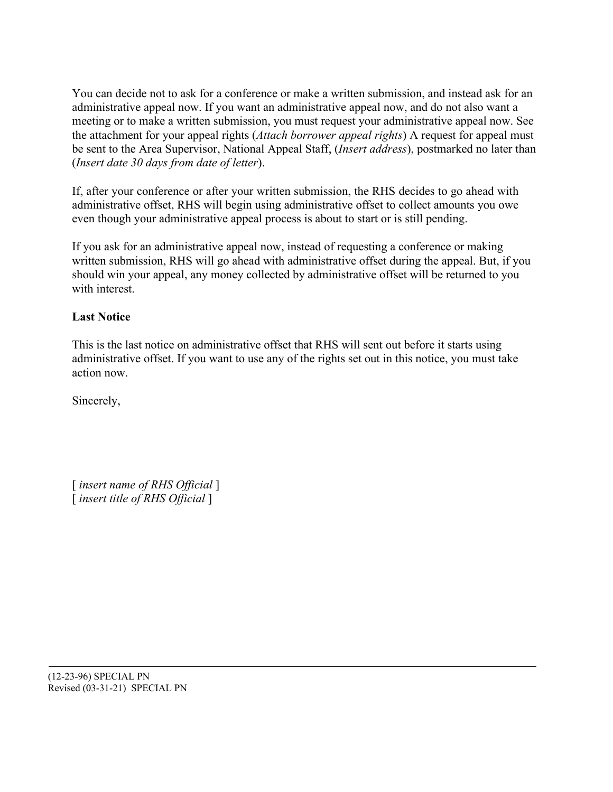You can decide not to ask for a conference or make a written submission, and instead ask for an administrative appeal now. If you want an administrative appeal now, and do not also want a meeting or to make a written submission, you must request your administrative appeal now. See the attachment for your appeal rights (*Attach borrower appeal rights*) A request for appeal must be sent to the Area Supervisor, National Appeal Staff, (*Insert address*), postmarked no later than (*Insert date 30 days from date of letter*).

If, after your conference or after your written submission, the RHS decides to go ahead with administrative offset, RHS will begin using administrative offset to collect amounts you owe even though your administrative appeal process is about to start or is still pending.

If you ask for an administrative appeal now, instead of requesting a conference or making written submission, RHS will go ahead with administrative offset during the appeal. But, if you should win your appeal, any money collected by administrative offset will be returned to you with interest.

# **Last Notice**

This is the last notice on administrative offset that RHS will sent out before it starts using administrative offset. If you want to use any of the rights set out in this notice, you must take action now.

Sincerely,

[ *insert name of RHS Official* ] [ *insert title of RHS Official* ]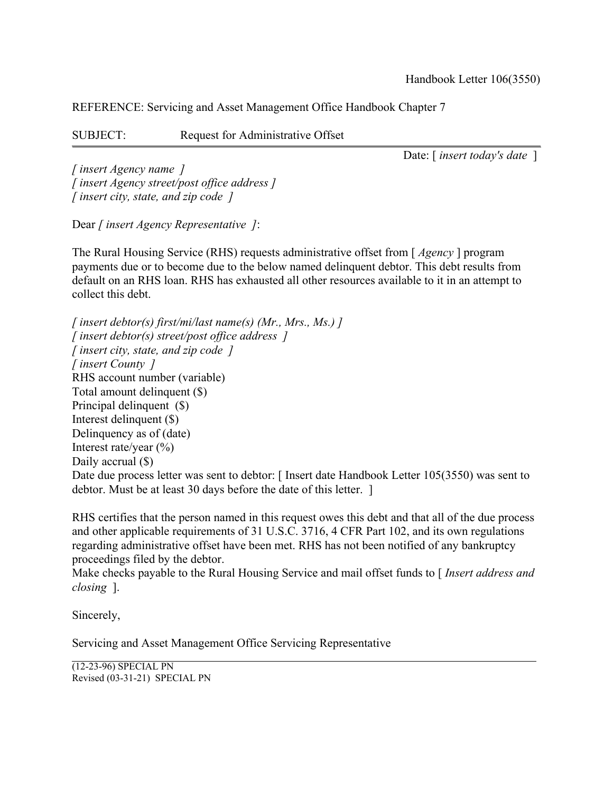SUBJECT: Request for Administrative Offset

Date: [ *insert today's date* ]

*[ insert Agency name ] [ insert Agency street/post office address ] [ insert city, state, and zip code ]*

Dear *[ insert Agency Representative ]*:

The Rural Housing Service (RHS) requests administrative offset from [ *Agency* ] program payments due or to become due to the below named delinquent debtor. This debt results from default on an RHS loan. RHS has exhausted all other resources available to it in an attempt to collect this debt.

*[ insert debtor(s) first/mi/last name(s) (Mr., Mrs., Ms.) ] [ insert debtor(s) street/post office address ] [ insert city, state, and zip code ] [ insert County ]* RHS account number (variable) Total amount delinquent (\$) Principal delinquent (\$) Interest delinquent (\$) Delinquency as of (date) Interest rate/year  $(\%)$ Daily accrual  $(\$)$ Date due process letter was sent to debtor: [ Insert date Handbook Letter 105(3550) was sent to debtor. Must be at least 30 days before the date of this letter. ]

RHS certifies that the person named in this request owes this debt and that all of the due process and other applicable requirements of 31 U.S.C. 3716, 4 CFR Part 102, and its own regulations regarding administrative offset have been met. RHS has not been notified of any bankruptcy proceedings filed by the debtor.

Make checks payable to the Rural Housing Service and mail offset funds to [ *Insert address and closing* ].

Sincerely,

Servicing and Asset Management Office Servicing Representative

(12-23-96) SPECIAL PN Revised (03-31-21) SPECIAL PN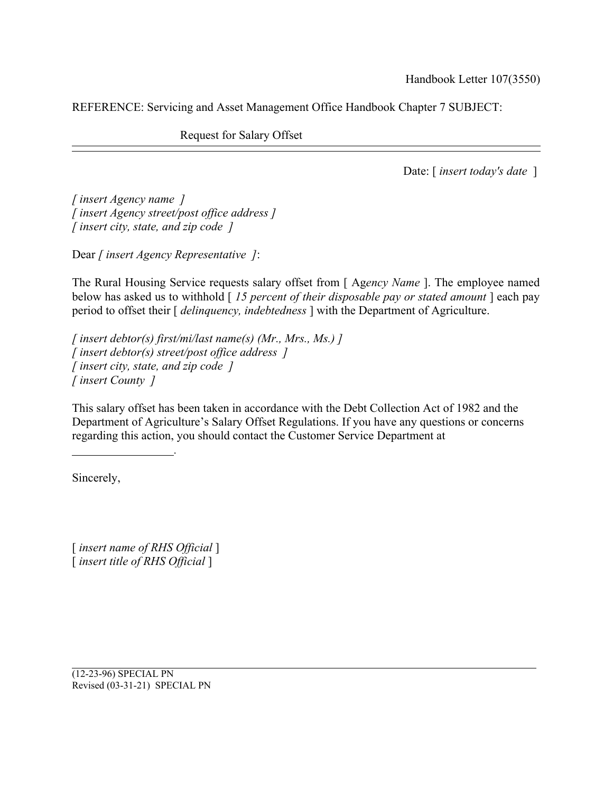Request for Salary Offset

Date: [ *insert today's date* ]

*[ insert Agency name ] [ insert Agency street/post office address ] [ insert city, state, and zip code ]*

*.*

Dear *[ insert Agency Representative ]*:

The Rural Housing Service requests salary offset from [ Ag*ency Name* ]. The employee named below has asked us to withhold [ *15 percent of their disposable pay or stated amount* ] each pay period to offset their [ *delinquency, indebtedness* ] with the Department of Agriculture.

*[ insert debtor(s) first/mi/last name(s) (Mr., Mrs., Ms.) ] [ insert debtor(s) street/post office address ] [ insert city, state, and zip code ] [ insert County ]*

This salary offset has been taken in accordance with the Debt Collection Act of 1982 and the Department of Agriculture's Salary Offset Regulations. If you have any questions or concerns regarding this action, you should contact the Customer Service Department at

Sincerely,

[ *insert name of RHS Official* ] [ *insert title of RHS Official* ]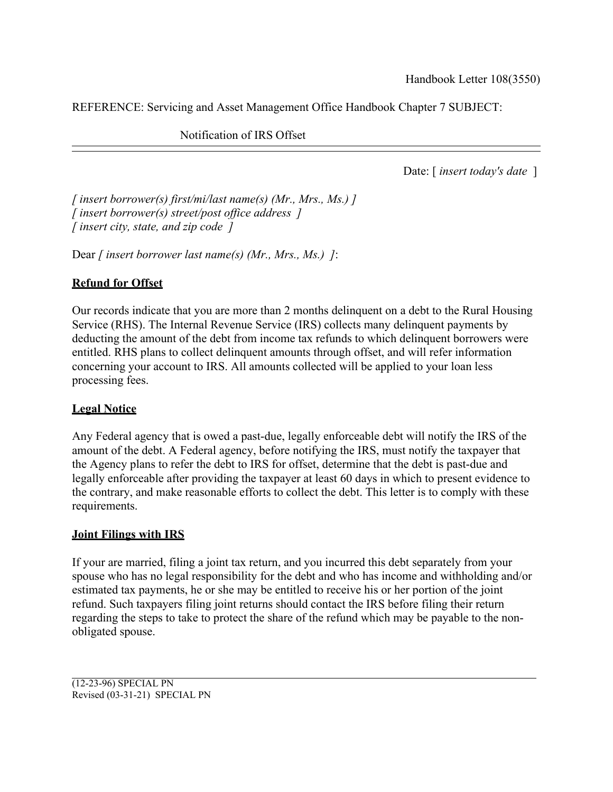Notification of IRS Offset

Date: [ *insert today's date* ]

*[ insert borrower(s) first/mi/last name(s) (Mr., Mrs., Ms.) ] [ insert borrower(s) street/post office address ] [ insert city, state, and zip code ]*

Dear *[ insert borrower last name(s) (Mr., Mrs., Ms.) ]*:

# **Refund for Offset**

Our records indicate that you are more than 2 months delinquent on a debt to the Rural Housing Service (RHS). The Internal Revenue Service (IRS) collects many delinquent payments by deducting the amount of the debt from income tax refunds to which delinquent borrowers were entitled. RHS plans to collect delinquent amounts through offset, and will refer information concerning your account to IRS. All amounts collected will be applied to your loan less processing fees.

# **Legal Notice**

Any Federal agency that is owed a past-due, legally enforceable debt will notify the IRS of the amount of the debt. A Federal agency, before notifying the IRS, must notify the taxpayer that the Agency plans to refer the debt to IRS for offset, determine that the debt is past-due and legally enforceable after providing the taxpayer at least 60 days in which to present evidence to the contrary, and make reasonable efforts to collect the debt. This letter is to comply with these requirements.

# **Joint Filings with IRS**

If your are married, filing a joint tax return, and you incurred this debt separately from your spouse who has no legal responsibility for the debt and who has income and withholding and/or estimated tax payments, he or she may be entitled to receive his or her portion of the joint refund. Such taxpayers filing joint returns should contact the IRS before filing their return regarding the steps to take to protect the share of the refund which may be payable to the nonobligated spouse.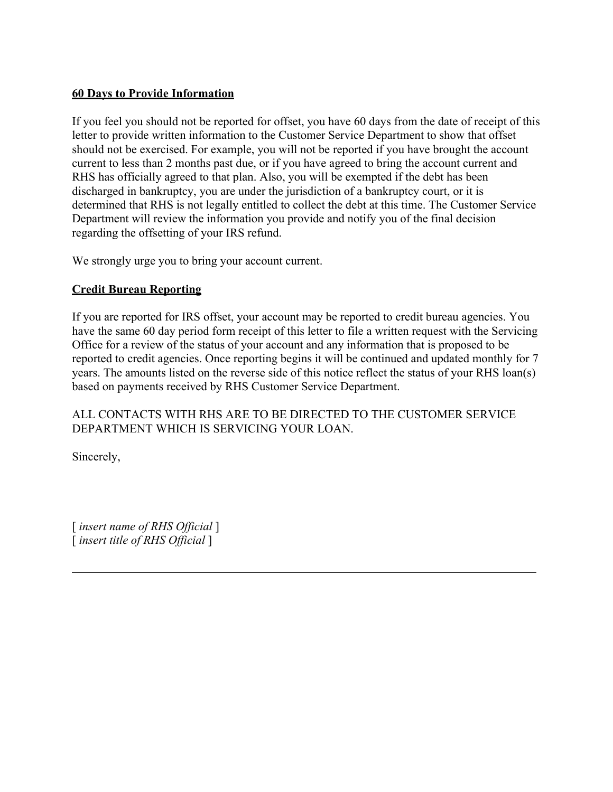# **60 Days to Provide Information**

If you feel you should not be reported for offset, you have 60 days from the date of receipt of this letter to provide written information to the Customer Service Department to show that offset should not be exercised. For example, you will not be reported if you have brought the account current to less than 2 months past due, or if you have agreed to bring the account current and RHS has officially agreed to that plan. Also, you will be exempted if the debt has been discharged in bankruptcy, you are under the jurisdiction of a bankruptcy court, or it is determined that RHS is not legally entitled to collect the debt at this time. The Customer Service Department will review the information you provide and notify you of the final decision regarding the offsetting of your IRS refund.

We strongly urge you to bring your account current.

# **Credit Bureau Reporting**

If you are reported for IRS offset, your account may be reported to credit bureau agencies. You have the same 60 day period form receipt of this letter to file a written request with the Servicing Office for a review of the status of your account and any information that is proposed to be reported to credit agencies. Once reporting begins it will be continued and updated monthly for 7 years. The amounts listed on the reverse side of this notice reflect the status of your RHS loan(s) based on payments received by RHS Customer Service Department.

# ALL CONTACTS WITH RHS ARE TO BE DIRECTED TO THE CUSTOMER SERVICE DEPARTMENT WHICH IS SERVICING YOUR LOAN.

Sincerely,

[ *insert name of RHS Official* ] [ *insert title of RHS Official* ]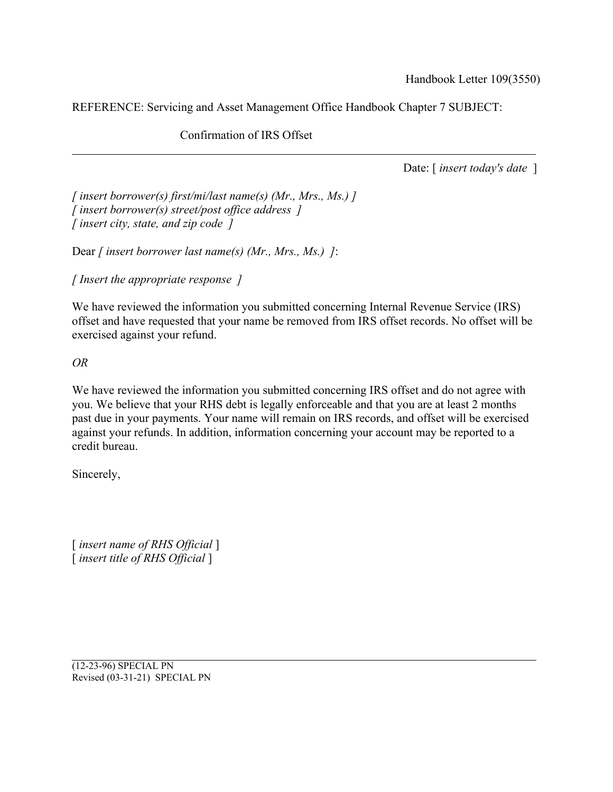Confirmation of IRS Offset

Date: [ *insert today's date* ]

*[ insert borrower(s) first/mi/last name(s) (Mr., Mrs., Ms.) ] [ insert borrower(s) street/post office address ] [ insert city, state, and zip code ]*

Dear *[ insert borrower last name(s) (Mr., Mrs., Ms.) ]*:

*[ Insert the appropriate response ]*

We have reviewed the information you submitted concerning Internal Revenue Service (IRS) offset and have requested that your name be removed from IRS offset records. No offset will be exercised against your refund.

*OR*

We have reviewed the information you submitted concerning IRS offset and do not agree with you. We believe that your RHS debt is legally enforceable and that you are at least 2 months past due in your payments. Your name will remain on IRS records, and offset will be exercised against your refunds. In addition, information concerning your account may be reported to a credit bureau.

Sincerely,

[ *insert name of RHS Official* ] [ *insert title of RHS Official* ]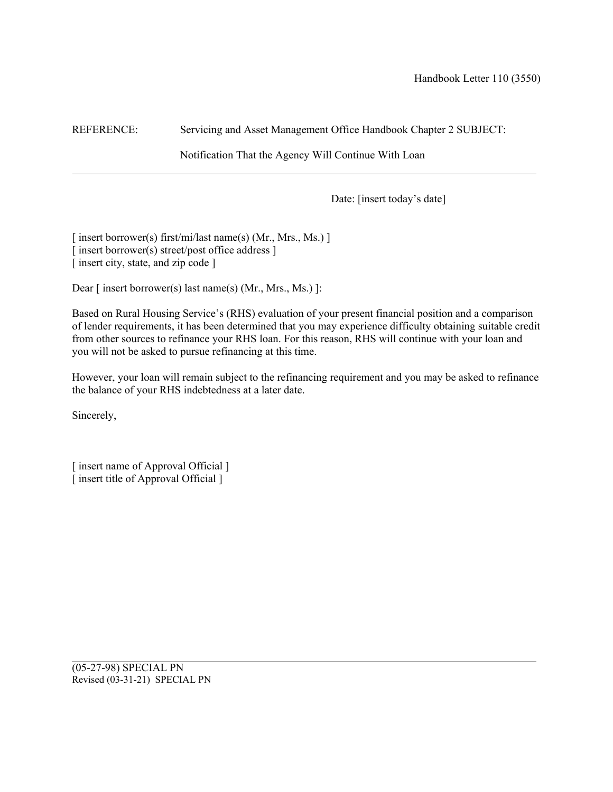Notification That the Agency Will Continue With Loan

Date: [insert today's date]

[ insert borrower(s) first/mi/last name(s) (Mr., Mrs., Ms.) ] [ insert borrower(s) street/post office address ] [ insert city, state, and zip code ]

Dear [ insert borrower(s) last name(s) (Mr., Mrs., Ms.) ]:

Based on Rural Housing Service's (RHS) evaluation of your present financial position and a comparison of lender requirements, it has been determined that you may experience difficulty obtaining suitable credit from other sources to refinance your RHS loan. For this reason, RHS will continue with your loan and you will not be asked to pursue refinancing at this time.

However, your loan will remain subject to the refinancing requirement and you may be asked to refinance the balance of your RHS indebtedness at a later date.

Sincerely,

[ insert name of Approval Official ] [ insert title of Approval Official ]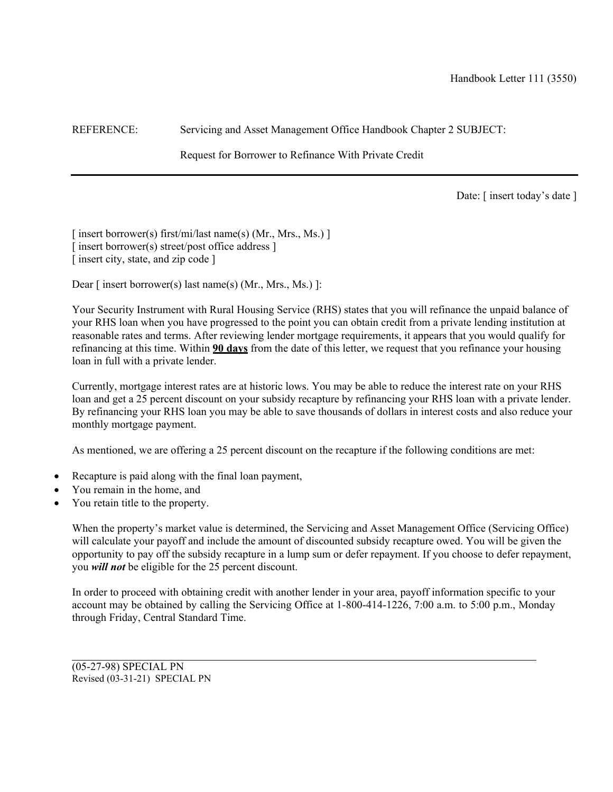Request for Borrower to Refinance With Private Credit

Date: [ insert today's date ]

[ insert borrower(s) first/mi/last name(s) (Mr., Mrs., Ms.) ] [ insert borrower(s) street/post office address ] [ insert city, state, and zip code ]

Dear [ insert borrower(s) last name(s) (Mr., Mrs., Ms.) ]:

Your Security Instrument with Rural Housing Service (RHS) states that you will refinance the unpaid balance of your RHS loan when you have progressed to the point you can obtain credit from a private lending institution at reasonable rates and terms. After reviewing lender mortgage requirements, it appears that you would qualify for refinancing at this time. Within **90 days** from the date of this letter, we request that you refinance your housing loan in full with a private lender.

Currently, mortgage interest rates are at historic lows. You may be able to reduce the interest rate on your RHS loan and get a 25 percent discount on your subsidy recapture by refinancing your RHS loan with a private lender. By refinancing your RHS loan you may be able to save thousands of dollars in interest costs and also reduce your monthly mortgage payment.

As mentioned, we are offering a 25 percent discount on the recapture if the following conditions are met:

- Recapture is paid along with the final loan payment,
- You remain in the home, and
- You retain title to the property.

When the property's market value is determined, the Servicing and Asset Management Office (Servicing Office) will calculate your payoff and include the amount of discounted subsidy recapture owed. You will be given the opportunity to pay off the subsidy recapture in a lump sum or defer repayment. If you choose to defer repayment, you *will not* be eligible for the 25 percent discount.

In order to proceed with obtaining credit with another lender in your area, payoff information specific to your account may be obtained by calling the Servicing Office at 1-800-414-1226, 7:00 a.m. to 5:00 p.m., Monday through Friday, Central Standard Time.

(05-27-98) SPECIAL PN Revised (03-31-21) SPECIAL PN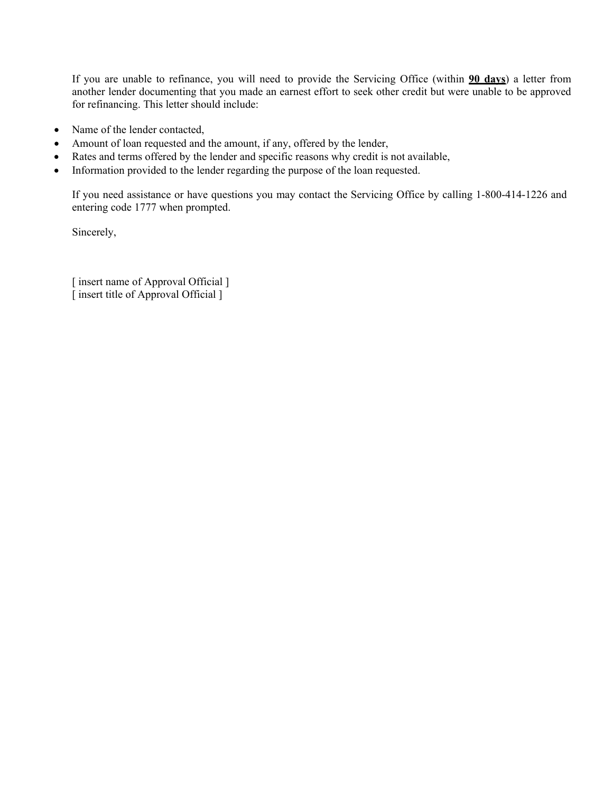If you are unable to refinance, you will need to provide the Servicing Office (within **90 days**) a letter from another lender documenting that you made an earnest effort to seek other credit but were unable to be approved for refinancing. This letter should include:

- Name of the lender contacted,
- Amount of loan requested and the amount, if any, offered by the lender,
- Rates and terms offered by the lender and specific reasons why credit is not available,
- Information provided to the lender regarding the purpose of the loan requested.

If you need assistance or have questions you may contact the Servicing Office by calling 1-800-414-1226 and entering code 1777 when prompted.

Sincerely,

[ insert name of Approval Official ] [ insert title of Approval Official ]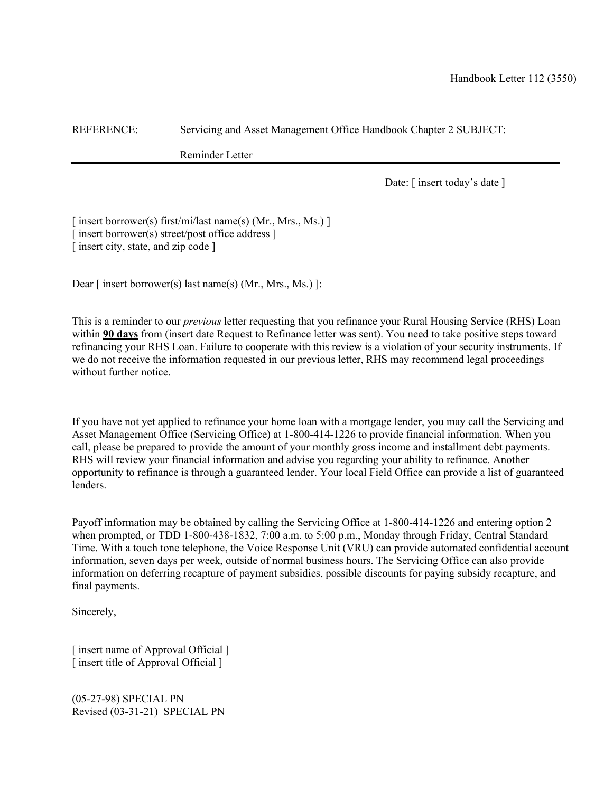Reminder Letter

Date: [ insert today's date ]

[ insert borrower(s) first/mi/last name(s) (Mr., Mrs., Ms.) ] [insert borrower(s) street/post office address ] [ insert city, state, and zip code ]

Dear [ insert borrower(s) last name(s) (Mr., Mrs., Ms.) ]:

This is a reminder to our *previous* letter requesting that you refinance your Rural Housing Service (RHS) Loan within **90 days** from (insert date Request to Refinance letter was sent). You need to take positive steps toward refinancing your RHS Loan. Failure to cooperate with this review is a violation of your security instruments. If we do not receive the information requested in our previous letter, RHS may recommend legal proceedings without further notice.

If you have not yet applied to refinance your home loan with a mortgage lender, you may call the Servicing and Asset Management Office (Servicing Office) at 1-800-414-1226 to provide financial information. When you call, please be prepared to provide the amount of your monthly gross income and installment debt payments. RHS will review your financial information and advise you regarding your ability to refinance. Another opportunity to refinance is through a guaranteed lender. Your local Field Office can provide a list of guaranteed lenders.

Payoff information may be obtained by calling the Servicing Office at 1-800-414-1226 and entering option 2 when prompted, or TDD 1-800-438-1832, 7:00 a.m. to 5:00 p.m., Monday through Friday, Central Standard Time. With a touch tone telephone, the Voice Response Unit (VRU) can provide automated confidential account information, seven days per week, outside of normal business hours. The Servicing Office can also provide information on deferring recapture of payment subsidies, possible discounts for paying subsidy recapture, and final payments.

Sincerely,

[ insert name of Approval Official ] [ insert title of Approval Official ]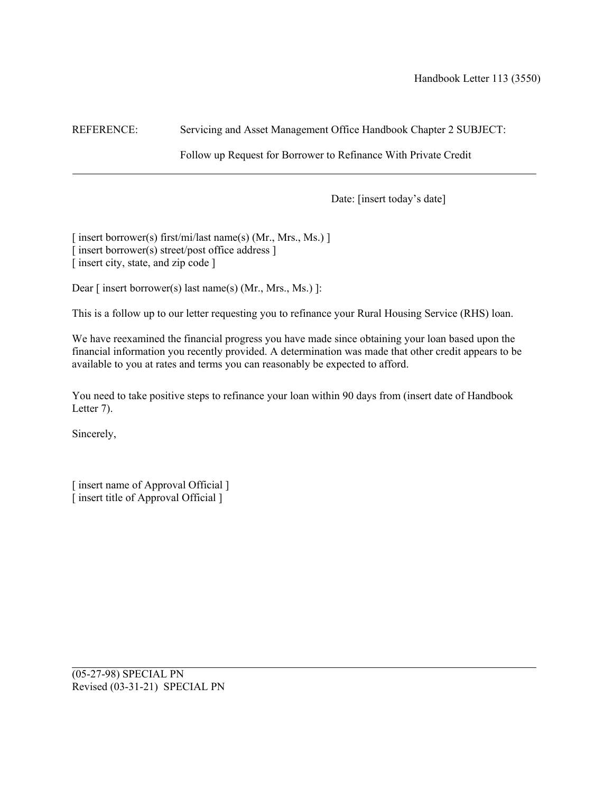Follow up Request for Borrower to Refinance With Private Credit

Date: [insert today's date]

[ insert borrower(s) first/mi/last name(s) (Mr., Mrs., Ms.) ] [ insert borrower(s) street/post office address ] [ insert city, state, and zip code ]

Dear [ insert borrower(s) last name(s) (Mr., Mrs., Ms.) ]:

This is a follow up to our letter requesting you to refinance your Rural Housing Service (RHS) loan.

We have reexamined the financial progress you have made since obtaining your loan based upon the financial information you recently provided. A determination was made that other credit appears to be available to you at rates and terms you can reasonably be expected to afford.

You need to take positive steps to refinance your loan within 90 days from (insert date of Handbook Letter 7).

Sincerely,

[ insert name of Approval Official ] [ insert title of Approval Official ]

(05-27-98) SPECIAL PN Revised (03-31-21) SPECIAL PN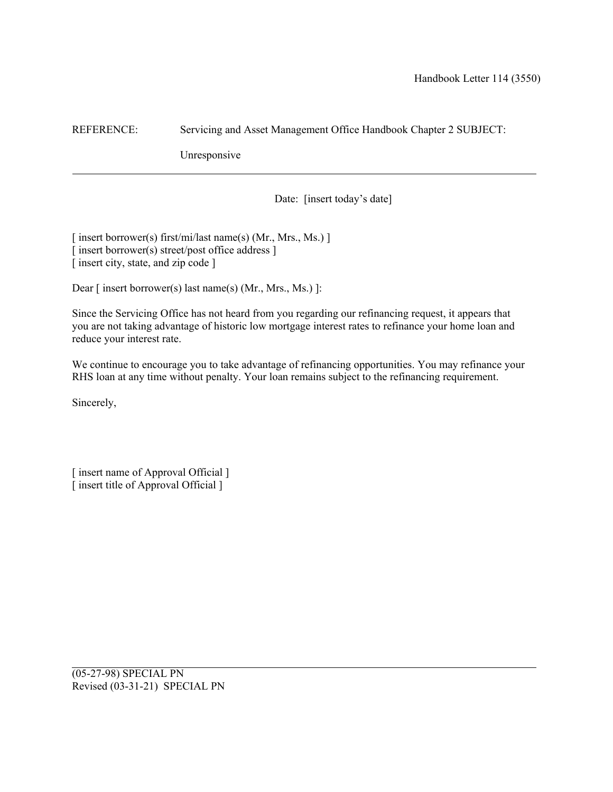Unresponsive

Date: [insert today's date]

[ insert borrower(s) first/mi/last name(s) (Mr., Mrs., Ms.) ] [ insert borrower(s) street/post office address ] [ insert city, state, and zip code ]

Dear [ insert borrower(s) last name(s) (Mr., Mrs., Ms.) ]:

Since the Servicing Office has not heard from you regarding our refinancing request, it appears that you are not taking advantage of historic low mortgage interest rates to refinance your home loan and reduce your interest rate.

We continue to encourage you to take advantage of refinancing opportunities. You may refinance your RHS loan at any time without penalty. Your loan remains subject to the refinancing requirement.

Sincerely,

[ insert name of Approval Official ]  $\overline{\phantom{a}}$  insert title of Approval Official  $\overline{\phantom{a}}$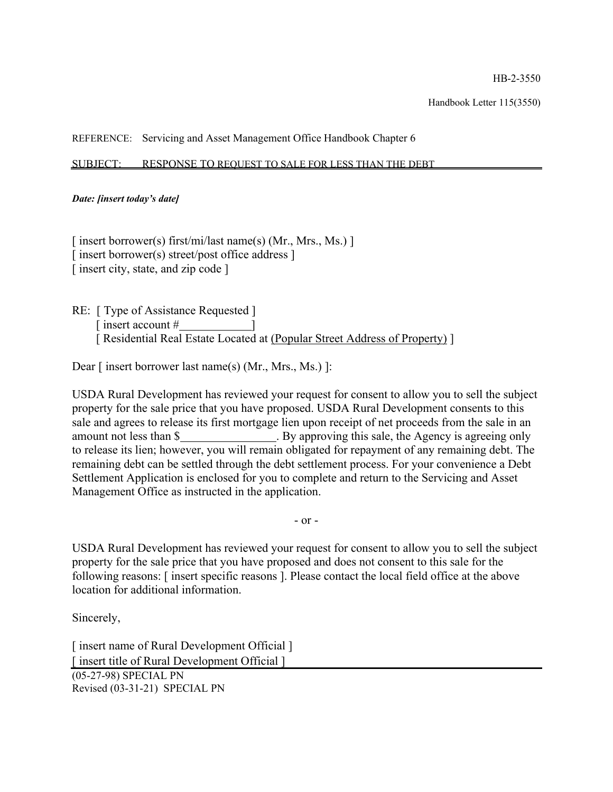#### SUBJECT: RESPONSE TO REQUEST TO SALE FOR LESS THAN THE DEBT

#### *Date: [insert today's date]*

[ insert borrower(s) first/mi/last name(s) (Mr., Mrs., Ms.) ]  $\lceil$  insert borrower(s) street/post office address  $\rceil$ [ insert city, state, and zip code ]

RE: [ Type of Assistance Requested ] [ insert account  $#$ [ Residential Real Estate Located at (Popular Street Address of Property) ]

Dear [ insert borrower last name(s) (Mr., Mrs., Ms.) ]:

USDA Rural Development has reviewed your request for consent to allow you to sell the subject property for the sale price that you have proposed. USDA Rural Development consents to this sale and agrees to release its first mortgage lien upon receipt of net proceeds from the sale in an amount not less than \$ . By approving this sale, the Agency is agreeing only to release its lien; however, you will remain obligated for repayment of any remaining debt. The remaining debt can be settled through the debt settlement process. For your convenience a Debt Settlement Application is enclosed for you to complete and return to the Servicing and Asset Management Office as instructed in the application.

- or -

USDA Rural Development has reviewed your request for consent to allow you to sell the subject property for the sale price that you have proposed and does not consent to this sale for the following reasons: [ insert specific reasons ]. Please contact the local field office at the above location for additional information.

Sincerely,

[ insert name of Rural Development Official ] [ insert title of Rural Development Official ] (05-27-98) SPECIAL PN Revised (03-31-21) SPECIAL PN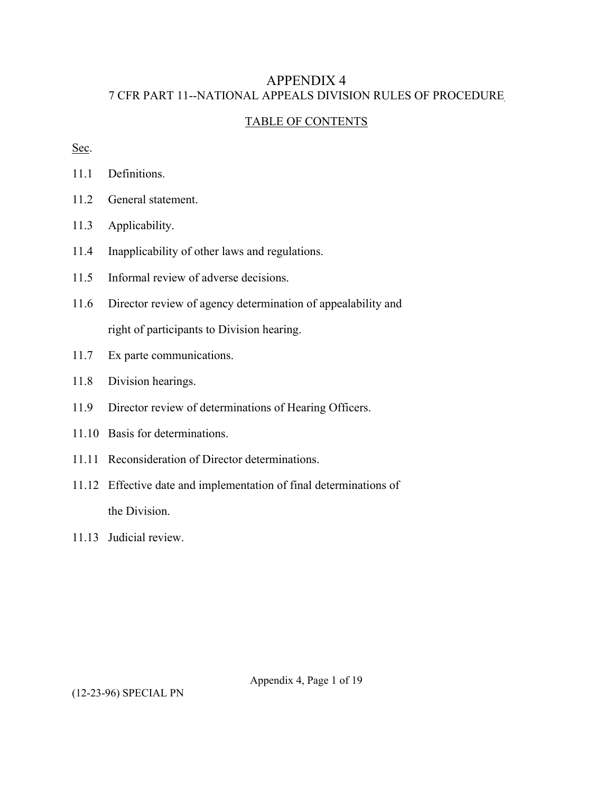# APPENDIX 4 7 CFR PART 11--NATIONAL APPEALS DIVISION RULES OF PROCEDURE

# TABLE OF CONTENTS

Sec.

11.1 Definitions.

- 11.2 General statement.
- 11.3 Applicability.
- 11.4 Inapplicability of other laws and regulations.
- 11.5 Informal review of adverse decisions.
- 11.6 Director review of agency determination of appealability and right of participants to Division hearing.
- 11.7 Ex parte communications.
- 11.8 Division hearings.
- 11.9 Director review of determinations of Hearing Officers.
- 11.10 Basis for determinations.
- 11.11 Reconsideration of Director determinations.
- 11.12 Effective date and implementation of final determinations of the Division.
- 11.13 Judicial review.

Appendix 4, Page 1 of 19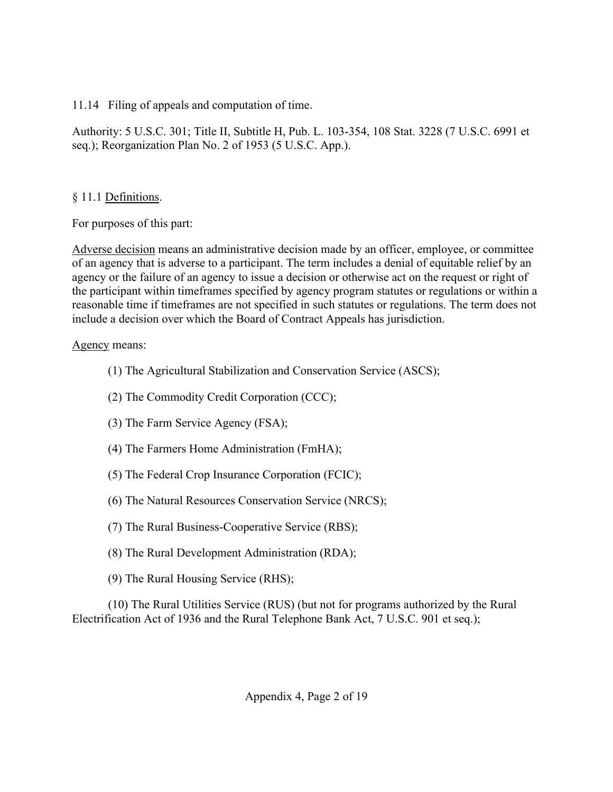11.14 Filing of appeals and computation of time.

Authority: 5 U.S.C. 301; Title II, Subtitle H, Pub. L. 103-354, 108 Stat. 3228 (7 U.S.C. 6991 et seq.); Reorganization Plan No. 2 of 1953 (5 U.S.C. App.).

# § 11.1 Definitions.

For purposes of this part:

Adverse decision means an administrative decision made by an officer, employee, or committee of an agency that is adverse to a participant. The term includes a denial of equitable relief by an agency or the failure of an agency to issue a decision or otherwise act on the request or right of the participant within timeframes specified by agency program statutes or regulations or within a reasonable time if timeframes are not specified in such statutes or regulations. The term does not include a decision over which the Board of Contract Appeals has jurisdiction.

# Agency means:

- (1) The Agricultural Stabilization and Conservation Service (ASCS);
- (2) The Commodity Credit Corporation (CCC);
- (3) The Farm Service Agency (FSA);
- (4) The Farmers Home Administration (FmHA);
- (5) The Federal Crop Insurance Corporation (FCIC);
- (6) The Natural Resources Conservation Service (NRCS);
- (7) The Rural Business-Cooperative Service (RBS);
- (8) The Rural Development Administration (RDA);
- (9) The Rural Housing Service (RHS);

(10) The Rural Utilities Service (RUS) (but not for programs authorized by the Rural Electrification Act of 1936 and the Rural Telephone Bank Act, 7 U.S.C. 901 et seq.);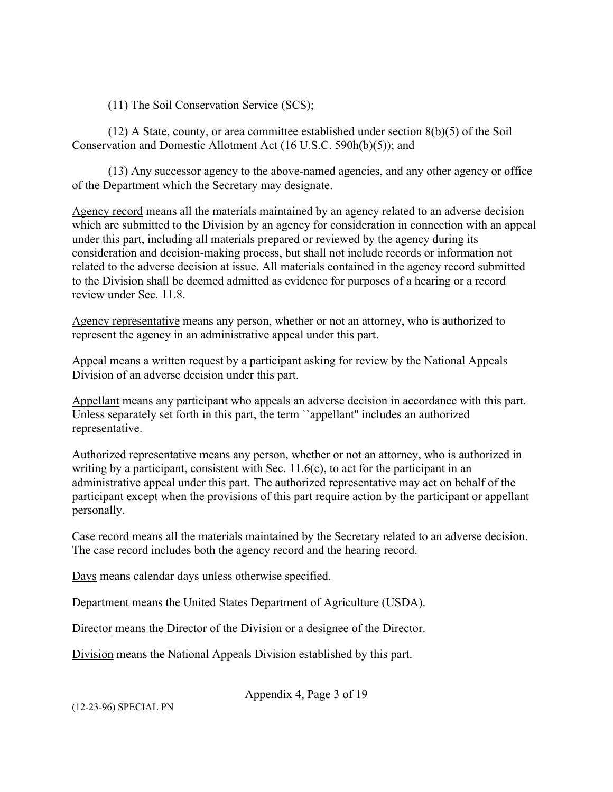(11) The Soil Conservation Service (SCS);

 $(12)$  A State, county, or area committee established under section  $8(b)(5)$  of the Soil Conservation and Domestic Allotment Act (16 U.S.C. 590h(b)(5)); and

(13) Any successor agency to the above-named agencies, and any other agency or office of the Department which the Secretary may designate.

Agency record means all the materials maintained by an agency related to an adverse decision which are submitted to the Division by an agency for consideration in connection with an appeal under this part, including all materials prepared or reviewed by the agency during its consideration and decision-making process, but shall not include records or information not related to the adverse decision at issue. All materials contained in the agency record submitted to the Division shall be deemed admitted as evidence for purposes of a hearing or a record review under Sec. 11.8.

Agency representative means any person, whether or not an attorney, who is authorized to represent the agency in an administrative appeal under this part.

Appeal means a written request by a participant asking for review by the National Appeals Division of an adverse decision under this part.

Appellant means any participant who appeals an adverse decision in accordance with this part. Unless separately set forth in this part, the term ``appellant'' includes an authorized representative.

Authorized representative means any person, whether or not an attorney, who is authorized in writing by a participant, consistent with Sec.  $11.6(c)$ , to act for the participant in an administrative appeal under this part. The authorized representative may act on behalf of the participant except when the provisions of this part require action by the participant or appellant personally.

Case record means all the materials maintained by the Secretary related to an adverse decision. The case record includes both the agency record and the hearing record.

Days means calendar days unless otherwise specified.

Department means the United States Department of Agriculture (USDA).

Director means the Director of the Division or a designee of the Director.

Division means the National Appeals Division established by this part.

Appendix 4, Page 3 of 19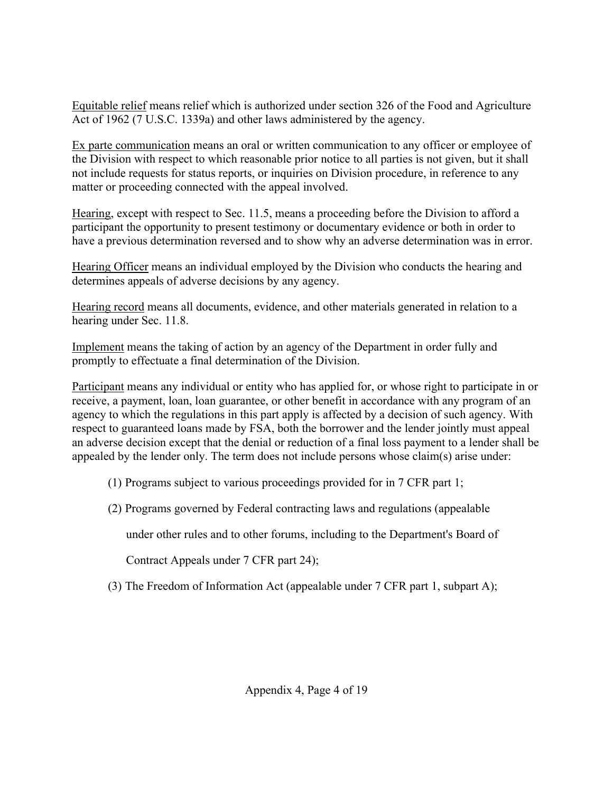Equitable relief means relief which is authorized under section 326 of the Food and Agriculture Act of 1962 (7 U.S.C. 1339a) and other laws administered by the agency.

Ex parte communication means an oral or written communication to any officer or employee of the Division with respect to which reasonable prior notice to all parties is not given, but it shall not include requests for status reports, or inquiries on Division procedure, in reference to any matter or proceeding connected with the appeal involved.

Hearing, except with respect to Sec. 11.5, means a proceeding before the Division to afford a participant the opportunity to present testimony or documentary evidence or both in order to have a previous determination reversed and to show why an adverse determination was in error.

Hearing Officer means an individual employed by the Division who conducts the hearing and determines appeals of adverse decisions by any agency.

Hearing record means all documents, evidence, and other materials generated in relation to a hearing under Sec. 11.8.

Implement means the taking of action by an agency of the Department in order fully and promptly to effectuate a final determination of the Division.

Participant means any individual or entity who has applied for, or whose right to participate in or receive, a payment, loan, loan guarantee, or other benefit in accordance with any program of an agency to which the regulations in this part apply is affected by a decision of such agency. With respect to guaranteed loans made by FSA, both the borrower and the lender jointly must appeal an adverse decision except that the denial or reduction of a final loss payment to a lender shall be appealed by the lender only. The term does not include persons whose claim(s) arise under:

- (1) Programs subject to various proceedings provided for in 7 CFR part 1;
- (2) Programs governed by Federal contracting laws and regulations (appealable

under other rules and to other forums, including to the Department's Board of

Contract Appeals under 7 CFR part 24);

(3) The Freedom of Information Act (appealable under 7 CFR part 1, subpart A);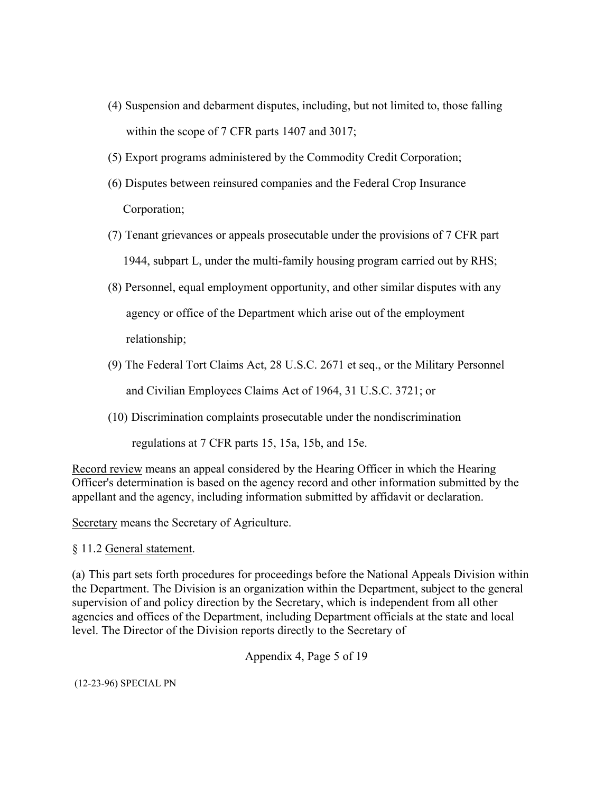- (4) Suspension and debarment disputes, including, but not limited to, those falling within the scope of 7 CFR parts 1407 and 3017;
- (5) Export programs administered by the Commodity Credit Corporation;
- (6) Disputes between reinsured companies and the Federal Crop Insurance Corporation;
- (7) Tenant grievances or appeals prosecutable under the provisions of 7 CFR part 1944, subpart L, under the multi-family housing program carried out by RHS;
- (8) Personnel, equal employment opportunity, and other similar disputes with any agency or office of the Department which arise out of the employment relationship;
- (9) The Federal Tort Claims Act, 28 U.S.C. 2671 et seq., or the Military Personnel and Civilian Employees Claims Act of 1964, 31 U.S.C. 3721; or
- (10) Discrimination complaints prosecutable under the nondiscrimination

regulations at 7 CFR parts 15, 15a, 15b, and 15e.

Record review means an appeal considered by the Hearing Officer in which the Hearing Officer's determination is based on the agency record and other information submitted by the appellant and the agency, including information submitted by affidavit or declaration.

Secretary means the Secretary of Agriculture.

§ 11.2 General statement.

(a) This part sets forth procedures for proceedings before the National Appeals Division within the Department. The Division is an organization within the Department, subject to the general supervision of and policy direction by the Secretary, which is independent from all other agencies and offices of the Department, including Department officials at the state and local level. The Director of the Division reports directly to the Secretary of

Appendix 4, Page 5 of 19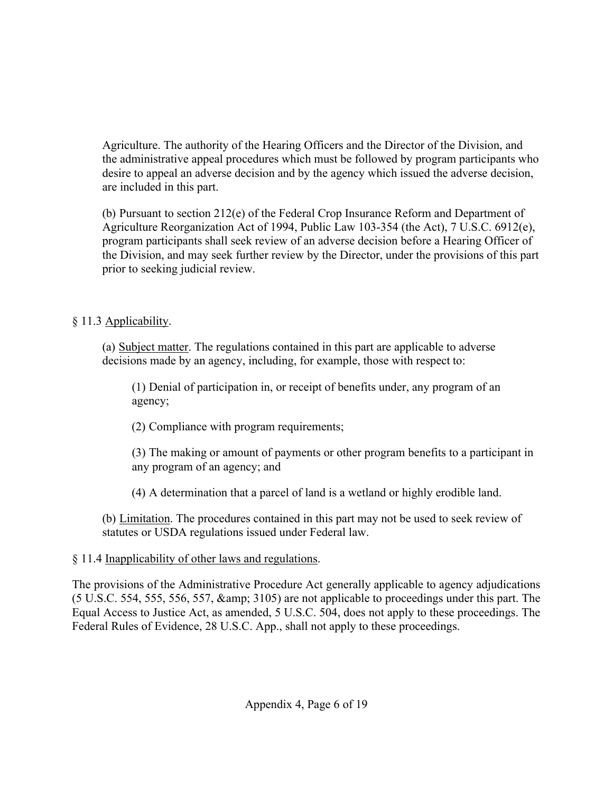Agriculture. The authority of the Hearing Officers and the Director of the Division, and the administrative appeal procedures which must be followed by program participants who desire to appeal an adverse decision and by the agency which issued the adverse decision, are included in this part.

(b) Pursuant to section 212(e) of the Federal Crop Insurance Reform and Department of Agriculture Reorganization Act of 1994, Public Law 103-354 (the Act), 7 U.S.C. 6912(e), program participants shall seek review of an adverse decision before a Hearing Officer of the Division, and may seek further review by the Director, under the provisions of this part prior to seeking judicial review.

# § 11.3 Applicability.

(a) Subject matter. The regulations contained in this part are applicable to adverse decisions made by an agency, including, for example, those with respect to:

(1) Denial of participation in, or receipt of benefits under, any program of an agency;

(2) Compliance with program requirements;

(3) The making or amount of payments or other program benefits to a participant in any program of an agency; and

(4) A determination that a parcel of land is a wetland or highly erodible land.

(b) Limitation. The procedures contained in this part may not be used to seek review of statutes or USDA regulations issued under Federal law.

# § 11.4 Inapplicability of other laws and regulations.

The provisions of the Administrative Procedure Act generally applicable to agency adjudications (5 U.S.C. 554, 555, 556, 557, & 3105) are not applicable to proceedings under this part. The Equal Access to Justice Act, as amended, 5 U.S.C. 504, does not apply to these proceedings. The Federal Rules of Evidence, 28 U.S.C. App., shall not apply to these proceedings.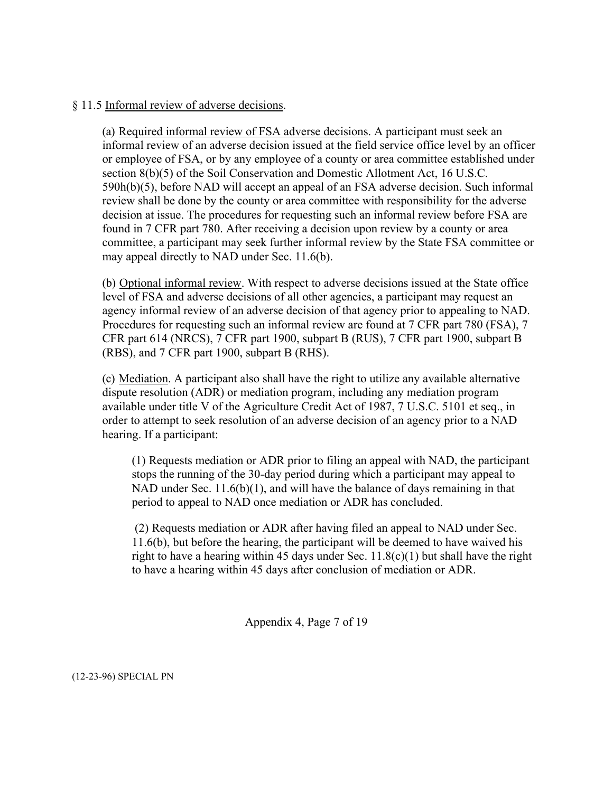### § 11.5 Informal review of adverse decisions.

(a) Required informal review of FSA adverse decisions. A participant must seek an informal review of an adverse decision issued at the field service office level by an officer or employee of FSA, or by any employee of a county or area committee established under section 8(b)(5) of the Soil Conservation and Domestic Allotment Act, 16 U.S.C. 590h(b)(5), before NAD will accept an appeal of an FSA adverse decision. Such informal review shall be done by the county or area committee with responsibility for the adverse decision at issue. The procedures for requesting such an informal review before FSA are found in 7 CFR part 780. After receiving a decision upon review by a county or area committee, a participant may seek further informal review by the State FSA committee or may appeal directly to NAD under Sec. 11.6(b).

(b) Optional informal review. With respect to adverse decisions issued at the State office level of FSA and adverse decisions of all other agencies, a participant may request an agency informal review of an adverse decision of that agency prior to appealing to NAD. Procedures for requesting such an informal review are found at 7 CFR part 780 (FSA), 7 CFR part 614 (NRCS), 7 CFR part 1900, subpart B (RUS), 7 CFR part 1900, subpart B (RBS), and 7 CFR part 1900, subpart B (RHS).

(c) Mediation. A participant also shall have the right to utilize any available alternative dispute resolution (ADR) or mediation program, including any mediation program available under title V of the Agriculture Credit Act of 1987, 7 U.S.C. 5101 et seq., in order to attempt to seek resolution of an adverse decision of an agency prior to a NAD hearing. If a participant:

(1) Requests mediation or ADR prior to filing an appeal with NAD, the participant stops the running of the 30-day period during which a participant may appeal to NAD under Sec. 11.6(b)(1), and will have the balance of days remaining in that period to appeal to NAD once mediation or ADR has concluded.

(2) Requests mediation or ADR after having filed an appeal to NAD under Sec. 11.6(b), but before the hearing, the participant will be deemed to have waived his right to have a hearing within 45 days under Sec.  $11.8(c)(1)$  but shall have the right to have a hearing within 45 days after conclusion of mediation or ADR.

Appendix 4, Page 7 of 19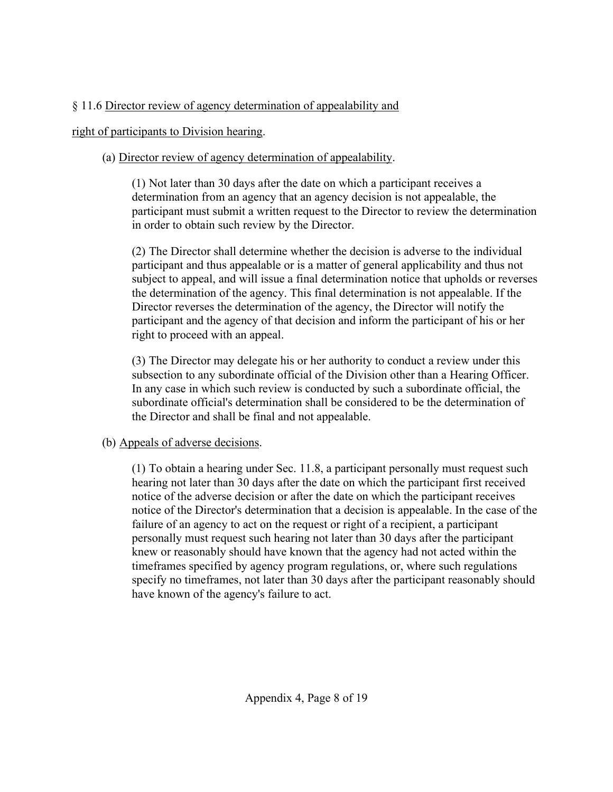# § 11.6 Director review of agency determination of appealability and

# right of participants to Division hearing.

# (a) Director review of agency determination of appealability.

(1) Not later than 30 days after the date on which a participant receives a determination from an agency that an agency decision is not appealable, the participant must submit a written request to the Director to review the determination in order to obtain such review by the Director.

(2) The Director shall determine whether the decision is adverse to the individual participant and thus appealable or is a matter of general applicability and thus not subject to appeal, and will issue a final determination notice that upholds or reverses the determination of the agency. This final determination is not appealable. If the Director reverses the determination of the agency, the Director will notify the participant and the agency of that decision and inform the participant of his or her right to proceed with an appeal.

(3) The Director may delegate his or her authority to conduct a review under this subsection to any subordinate official of the Division other than a Hearing Officer. In any case in which such review is conducted by such a subordinate official, the subordinate official's determination shall be considered to be the determination of the Director and shall be final and not appealable.

# (b) Appeals of adverse decisions.

(1) To obtain a hearing under Sec. 11.8, a participant personally must request such hearing not later than 30 days after the date on which the participant first received notice of the adverse decision or after the date on which the participant receives notice of the Director's determination that a decision is appealable. In the case of the failure of an agency to act on the request or right of a recipient, a participant personally must request such hearing not later than 30 days after the participant knew or reasonably should have known that the agency had not acted within the timeframes specified by agency program regulations, or, where such regulations specify no timeframes, not later than 30 days after the participant reasonably should have known of the agency's failure to act.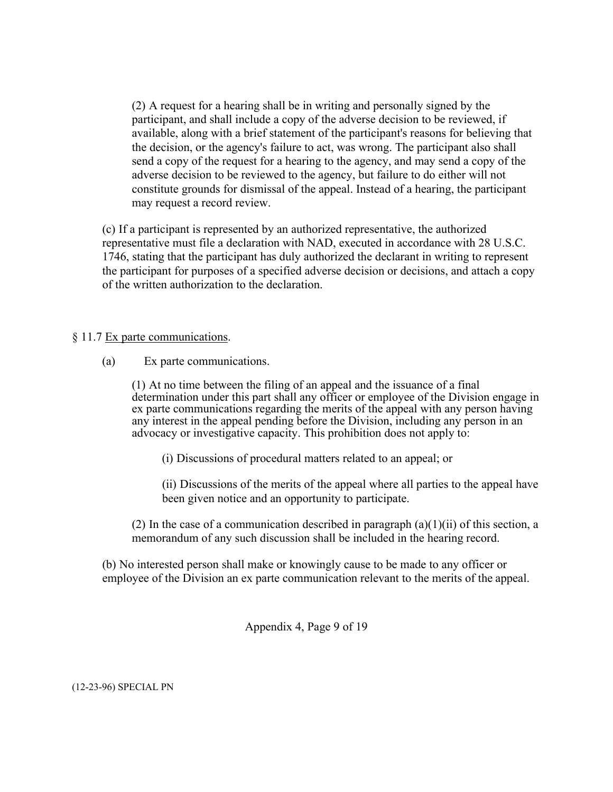(2) A request for a hearing shall be in writing and personally signed by the participant, and shall include a copy of the adverse decision to be reviewed, if available, along with a brief statement of the participant's reasons for believing that the decision, or the agency's failure to act, was wrong. The participant also shall send a copy of the request for a hearing to the agency, and may send a copy of the adverse decision to be reviewed to the agency, but failure to do either will not constitute grounds for dismissal of the appeal. Instead of a hearing, the participant may request a record review.

(c) If a participant is represented by an authorized representative, the authorized representative must file a declaration with NAD, executed in accordance with 28 U.S.C. 1746, stating that the participant has duly authorized the declarant in writing to represent the participant for purposes of a specified adverse decision or decisions, and attach a copy of the written authorization to the declaration.

### § 11.7 Ex parte communications.

(a) Ex parte communications.

(1) At no time between the filing of an appeal and the issuance of a final determination under this part shall any officer or employee of the Division engage in ex parte communications regarding the merits of the appeal with any person having any interest in the appeal pending before the Division, including any person in an advocacy or investigative capacity. This prohibition does not apply to:

(i) Discussions of procedural matters related to an appeal; or

(ii) Discussions of the merits of the appeal where all parties to the appeal have been given notice and an opportunity to participate.

(2) In the case of a communication described in paragraph  $(a)(1)(ii)$  of this section, a memorandum of any such discussion shall be included in the hearing record.

(b) No interested person shall make or knowingly cause to be made to any officer or employee of the Division an ex parte communication relevant to the merits of the appeal.

Appendix 4, Page 9 of 19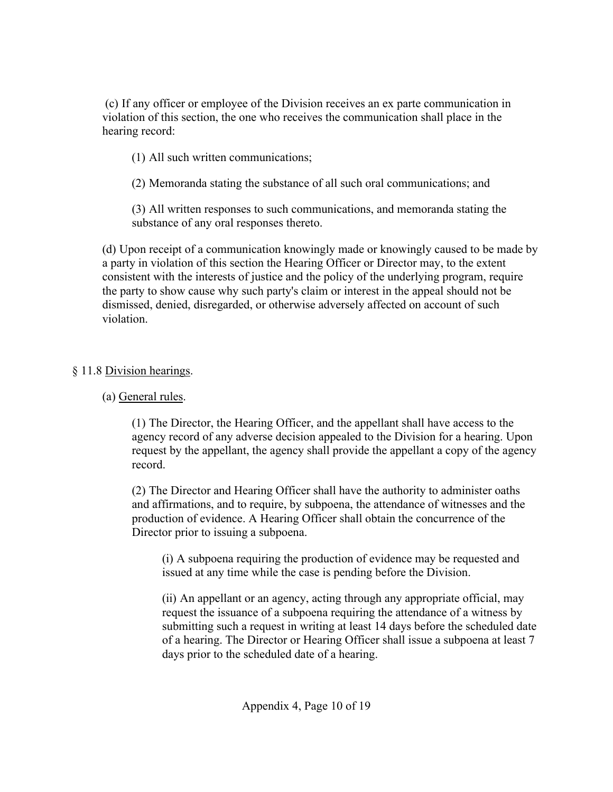(c) If any officer or employee of the Division receives an ex parte communication in violation of this section, the one who receives the communication shall place in the hearing record:

(1) All such written communications;

(2) Memoranda stating the substance of all such oral communications; and

(3) All written responses to such communications, and memoranda stating the substance of any oral responses thereto.

(d) Upon receipt of a communication knowingly made or knowingly caused to be made by a party in violation of this section the Hearing Officer or Director may, to the extent consistent with the interests of justice and the policy of the underlying program, require the party to show cause why such party's claim or interest in the appeal should not be dismissed, denied, disregarded, or otherwise adversely affected on account of such violation.

# § 11.8 Division hearings.

# (a) General rules.

(1) The Director, the Hearing Officer, and the appellant shall have access to the agency record of any adverse decision appealed to the Division for a hearing. Upon request by the appellant, the agency shall provide the appellant a copy of the agency record.

(2) The Director and Hearing Officer shall have the authority to administer oaths and affirmations, and to require, by subpoena, the attendance of witnesses and the production of evidence. A Hearing Officer shall obtain the concurrence of the Director prior to issuing a subpoena.

(i) A subpoena requiring the production of evidence may be requested and issued at any time while the case is pending before the Division.

(ii) An appellant or an agency, acting through any appropriate official, may request the issuance of a subpoena requiring the attendance of a witness by submitting such a request in writing at least 14 days before the scheduled date of a hearing. The Director or Hearing Officer shall issue a subpoena at least 7 days prior to the scheduled date of a hearing.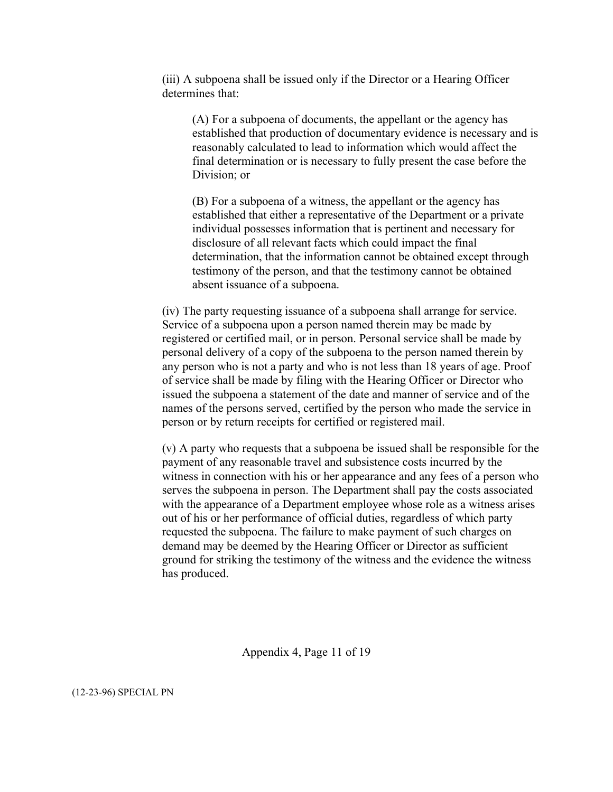(iii) A subpoena shall be issued only if the Director or a Hearing Officer determines that:

(A) For a subpoena of documents, the appellant or the agency has established that production of documentary evidence is necessary and is reasonably calculated to lead to information which would affect the final determination or is necessary to fully present the case before the Division; or

(B) For a subpoena of a witness, the appellant or the agency has established that either a representative of the Department or a private individual possesses information that is pertinent and necessary for disclosure of all relevant facts which could impact the final determination, that the information cannot be obtained except through testimony of the person, and that the testimony cannot be obtained absent issuance of a subpoena.

(iv) The party requesting issuance of a subpoena shall arrange for service. Service of a subpoena upon a person named therein may be made by registered or certified mail, or in person. Personal service shall be made by personal delivery of a copy of the subpoena to the person named therein by any person who is not a party and who is not less than 18 years of age. Proof of service shall be made by filing with the Hearing Officer or Director who issued the subpoena a statement of the date and manner of service and of the names of the persons served, certified by the person who made the service in person or by return receipts for certified or registered mail.

(v) A party who requests that a subpoena be issued shall be responsible for the payment of any reasonable travel and subsistence costs incurred by the witness in connection with his or her appearance and any fees of a person who serves the subpoena in person. The Department shall pay the costs associated with the appearance of a Department employee whose role as a witness arises out of his or her performance of official duties, regardless of which party requested the subpoena. The failure to make payment of such charges on demand may be deemed by the Hearing Officer or Director as sufficient ground for striking the testimony of the witness and the evidence the witness has produced.

Appendix 4, Page 11 of 19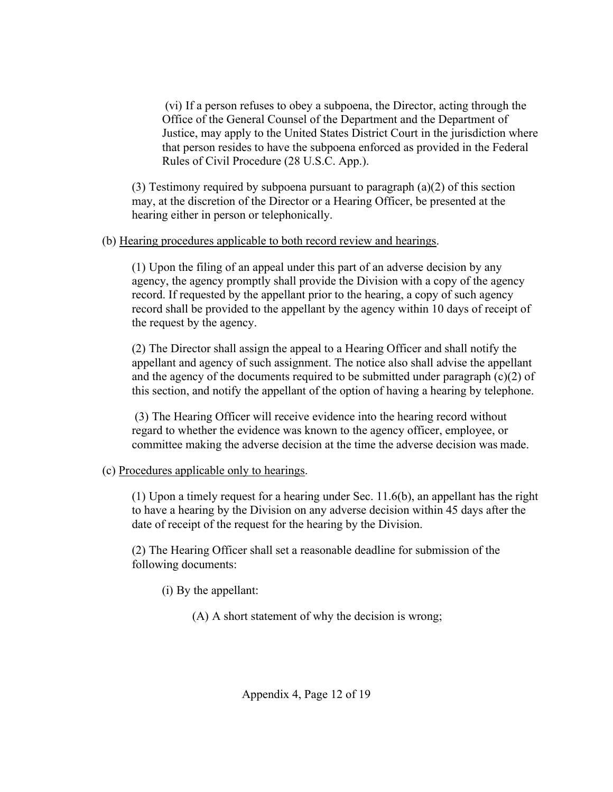(vi) If a person refuses to obey a subpoena, the Director, acting through the Office of the General Counsel of the Department and the Department of Justice, may apply to the United States District Court in the jurisdiction where that person resides to have the subpoena enforced as provided in the Federal Rules of Civil Procedure (28 U.S.C. App.).

(3) Testimony required by subpoena pursuant to paragraph  $(a)(2)$  of this section may, at the discretion of the Director or a Hearing Officer, be presented at the hearing either in person or telephonically.

### (b) Hearing procedures applicable to both record review and hearings.

(1) Upon the filing of an appeal under this part of an adverse decision by any agency, the agency promptly shall provide the Division with a copy of the agency record. If requested by the appellant prior to the hearing, a copy of such agency record shall be provided to the appellant by the agency within 10 days of receipt of the request by the agency.

(2) The Director shall assign the appeal to a Hearing Officer and shall notify the appellant and agency of such assignment. The notice also shall advise the appellant and the agency of the documents required to be submitted under paragraph  $(c)(2)$  of this section, and notify the appellant of the option of having a hearing by telephone.

(3) The Hearing Officer will receive evidence into the hearing record without regard to whether the evidence was known to the agency officer, employee, or committee making the adverse decision at the time the adverse decision was made.

# (c) Procedures applicable only to hearings.

(1) Upon a timely request for a hearing under Sec. 11.6(b), an appellant has the right to have a hearing by the Division on any adverse decision within 45 days after the date of receipt of the request for the hearing by the Division.

(2) The Hearing Officer shall set a reasonable deadline for submission of the following documents:

(i) By the appellant:

(A) A short statement of why the decision is wrong;

Appendix 4, Page 12 of 19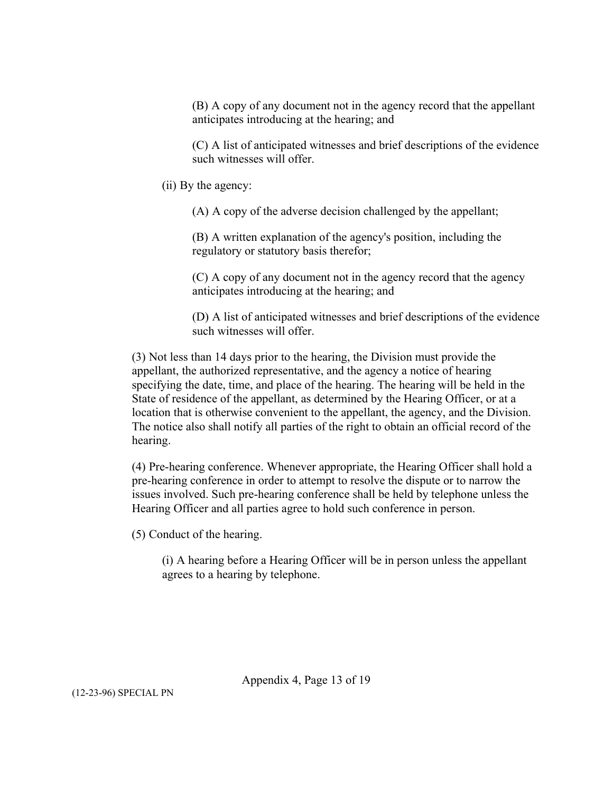(B) A copy of any document not in the agency record that the appellant anticipates introducing at the hearing; and

(C) A list of anticipated witnesses and brief descriptions of the evidence such witnesses will offer.

(ii) By the agency:

(A) A copy of the adverse decision challenged by the appellant;

(B) A written explanation of the agency's position, including the regulatory or statutory basis therefor;

(C) A copy of any document not in the agency record that the agency anticipates introducing at the hearing; and

(D) A list of anticipated witnesses and brief descriptions of the evidence such witnesses will offer.

(3) Not less than 14 days prior to the hearing, the Division must provide the appellant, the authorized representative, and the agency a notice of hearing specifying the date, time, and place of the hearing. The hearing will be held in the State of residence of the appellant, as determined by the Hearing Officer, or at a location that is otherwise convenient to the appellant, the agency, and the Division. The notice also shall notify all parties of the right to obtain an official record of the hearing.

(4) Pre-hearing conference. Whenever appropriate, the Hearing Officer shall hold a pre-hearing conference in order to attempt to resolve the dispute or to narrow the issues involved. Such pre-hearing conference shall be held by telephone unless the Hearing Officer and all parties agree to hold such conference in person.

(5) Conduct of the hearing.

(i) A hearing before a Hearing Officer will be in person unless the appellant agrees to a hearing by telephone.

Appendix 4, Page 13 of 19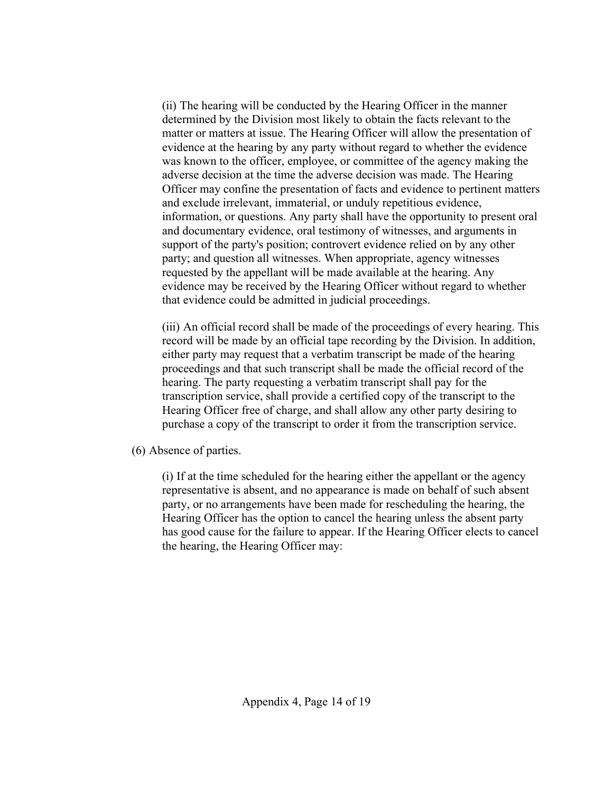(ii) The hearing will be conducted by the Hearing Officer in the manner determined by the Division most likely to obtain the facts relevant to the matter or matters at issue. The Hearing Officer will allow the presentation of evidence at the hearing by any party without regard to whether the evidence was known to the officer, employee, or committee of the agency making the adverse decision at the time the adverse decision was made. The Hearing Officer may confine the presentation of facts and evidence to pertinent matters and exclude irrelevant, immaterial, or unduly repetitious evidence, information, or questions. Any party shall have the opportunity to present oral and documentary evidence, oral testimony of witnesses, and arguments in support of the party's position; controvert evidence relied on by any other party; and question all witnesses. When appropriate, agency witnesses requested by the appellant will be made available at the hearing. Any evidence may be received by the Hearing Officer without regard to whether that evidence could be admitted in judicial proceedings.

(iii) An official record shall be made of the proceedings of every hearing. This record will be made by an official tape recording by the Division. In addition, either party may request that a verbatim transcript be made of the hearing proceedings and that such transcript shall be made the official record of the hearing. The party requesting a verbatim transcript shall pay for the transcription service, shall provide a certified copy of the transcript to the Hearing Officer free of charge, and shall allow any other party desiring to purchase a copy of the transcript to order it from the transcription service.

(6) Absence of parties.

(i) If at the time scheduled for the hearing either the appellant or the agency representative is absent, and no appearance is made on behalf of such absent party, or no arrangements have been made for rescheduling the hearing, the Hearing Officer has the option to cancel the hearing unless the absent party has good cause for the failure to appear. If the Hearing Officer elects to cancel the hearing, the Hearing Officer may: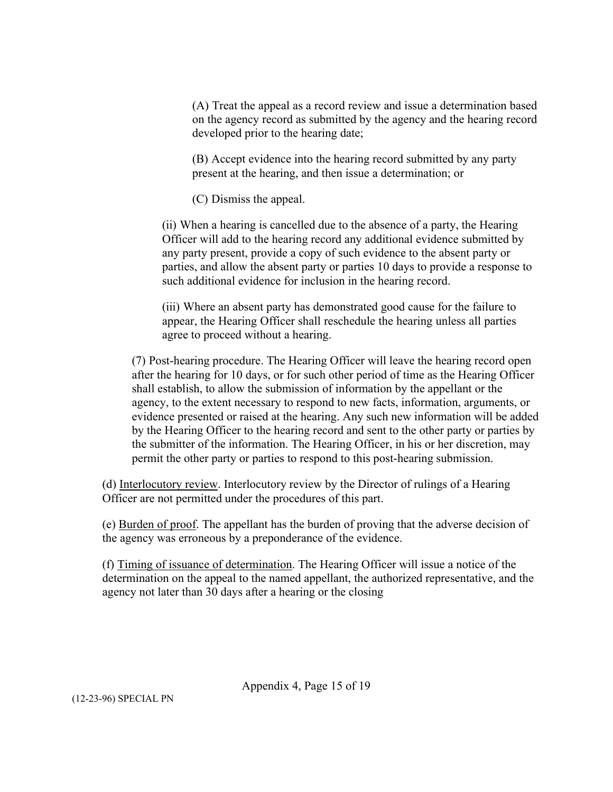(A) Treat the appeal as a record review and issue a determination based on the agency record as submitted by the agency and the hearing record developed prior to the hearing date;

(B) Accept evidence into the hearing record submitted by any party present at the hearing, and then issue a determination; or

(C) Dismiss the appeal.

(ii) When a hearing is cancelled due to the absence of a party, the Hearing Officer will add to the hearing record any additional evidence submitted by any party present, provide a copy of such evidence to the absent party or parties, and allow the absent party or parties 10 days to provide a response to such additional evidence for inclusion in the hearing record.

(iii) Where an absent party has demonstrated good cause for the failure to appear, the Hearing Officer shall reschedule the hearing unless all parties agree to proceed without a hearing.

(7) Post-hearing procedure. The Hearing Officer will leave the hearing record open after the hearing for 10 days, or for such other period of time as the Hearing Officer shall establish, to allow the submission of information by the appellant or the agency, to the extent necessary to respond to new facts, information, arguments, or evidence presented or raised at the hearing. Any such new information will be added by the Hearing Officer to the hearing record and sent to the other party or parties by the submitter of the information. The Hearing Officer, in his or her discretion, may permit the other party or parties to respond to this post-hearing submission.

(d) Interlocutory review. Interlocutory review by the Director of rulings of a Hearing Officer are not permitted under the procedures of this part.

(e) Burden of proof. The appellant has the burden of proving that the adverse decision of the agency was erroneous by a preponderance of the evidence.

(f) Timing of issuance of determination. The Hearing Officer will issue a notice of the determination on the appeal to the named appellant, the authorized representative, and the agency not later than 30 days after a hearing or the closing

Appendix 4, Page 15 of 19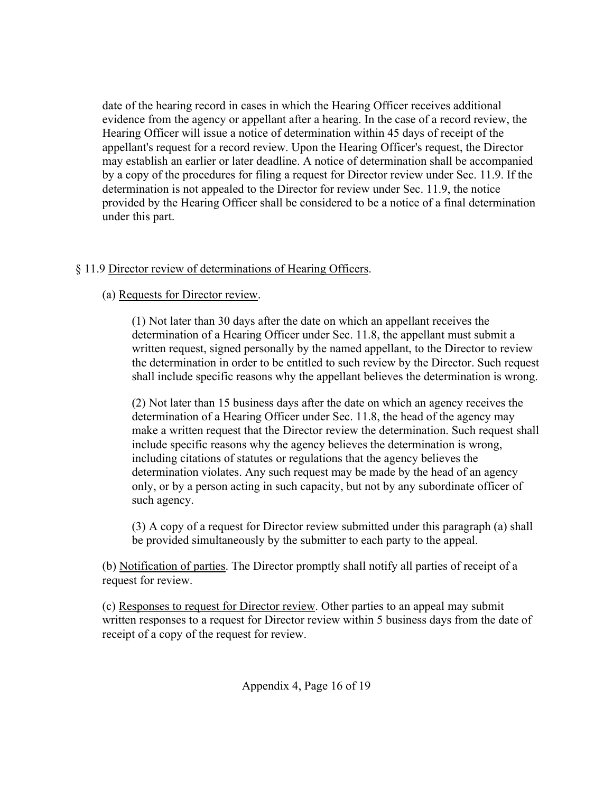date of the hearing record in cases in which the Hearing Officer receives additional evidence from the agency or appellant after a hearing. In the case of a record review, the Hearing Officer will issue a notice of determination within 45 days of receipt of the appellant's request for a record review. Upon the Hearing Officer's request, the Director may establish an earlier or later deadline. A notice of determination shall be accompanied by a copy of the procedures for filing a request for Director review under Sec. 11.9. If the determination is not appealed to the Director for review under Sec. 11.9, the notice provided by the Hearing Officer shall be considered to be a notice of a final determination under this part.

# § 11.9 Director review of determinations of Hearing Officers.

# (a) Requests for Director review.

(1) Not later than 30 days after the date on which an appellant receives the determination of a Hearing Officer under Sec. 11.8, the appellant must submit a written request, signed personally by the named appellant, to the Director to review the determination in order to be entitled to such review by the Director. Such request shall include specific reasons why the appellant believes the determination is wrong.

(2) Not later than 15 business days after the date on which an agency receives the determination of a Hearing Officer under Sec. 11.8, the head of the agency may make a written request that the Director review the determination. Such request shall include specific reasons why the agency believes the determination is wrong, including citations of statutes or regulations that the agency believes the determination violates. Any such request may be made by the head of an agency only, or by a person acting in such capacity, but not by any subordinate officer of such agency.

(3) A copy of a request for Director review submitted under this paragraph (a) shall be provided simultaneously by the submitter to each party to the appeal.

(b) Notification of parties. The Director promptly shall notify all parties of receipt of a request for review.

(c) Responses to request for Director review. Other parties to an appeal may submit written responses to a request for Director review within 5 business days from the date of receipt of a copy of the request for review.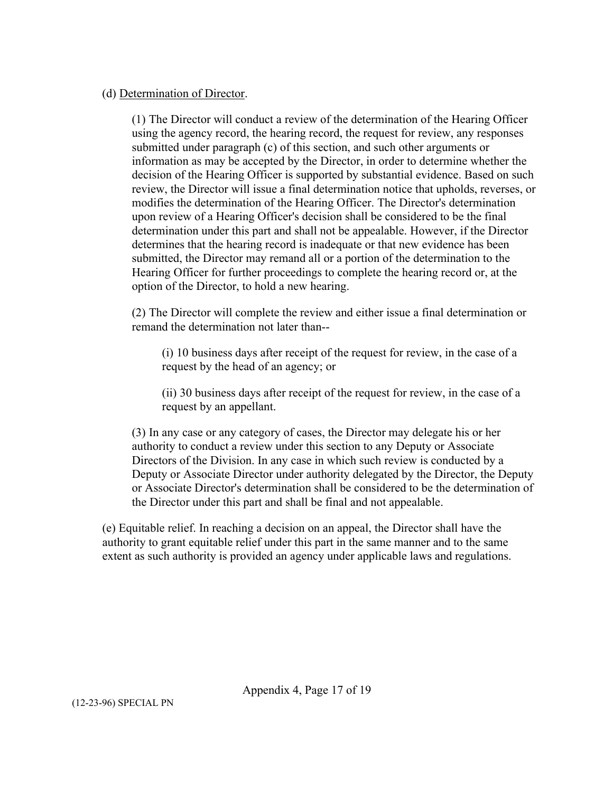### (d) Determination of Director.

(1) The Director will conduct a review of the determination of the Hearing Officer using the agency record, the hearing record, the request for review, any responses submitted under paragraph (c) of this section, and such other arguments or information as may be accepted by the Director, in order to determine whether the decision of the Hearing Officer is supported by substantial evidence. Based on such review, the Director will issue a final determination notice that upholds, reverses, or modifies the determination of the Hearing Officer. The Director's determination upon review of a Hearing Officer's decision shall be considered to be the final determination under this part and shall not be appealable. However, if the Director determines that the hearing record is inadequate or that new evidence has been submitted, the Director may remand all or a portion of the determination to the Hearing Officer for further proceedings to complete the hearing record or, at the option of the Director, to hold a new hearing.

(2) The Director will complete the review and either issue a final determination or remand the determination not later than--

(i) 10 business days after receipt of the request for review, in the case of a request by the head of an agency; or

(ii) 30 business days after receipt of the request for review, in the case of a request by an appellant.

(3) In any case or any category of cases, the Director may delegate his or her authority to conduct a review under this section to any Deputy or Associate Directors of the Division. In any case in which such review is conducted by a Deputy or Associate Director under authority delegated by the Director, the Deputy or Associate Director's determination shall be considered to be the determination of the Director under this part and shall be final and not appealable.

(e) Equitable relief. In reaching a decision on an appeal, the Director shall have the authority to grant equitable relief under this part in the same manner and to the same extent as such authority is provided an agency under applicable laws and regulations.

Appendix 4, Page 17 of 19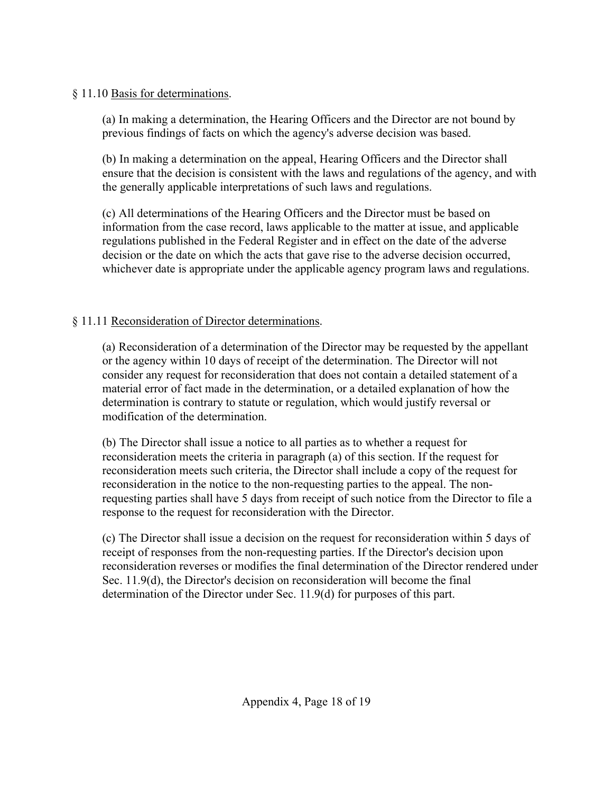# § 11.10 Basis for determinations.

(a) In making a determination, the Hearing Officers and the Director are not bound by previous findings of facts on which the agency's adverse decision was based.

(b) In making a determination on the appeal, Hearing Officers and the Director shall ensure that the decision is consistent with the laws and regulations of the agency, and with the generally applicable interpretations of such laws and regulations.

(c) All determinations of the Hearing Officers and the Director must be based on information from the case record, laws applicable to the matter at issue, and applicable regulations published in the Federal Register and in effect on the date of the adverse decision or the date on which the acts that gave rise to the adverse decision occurred, whichever date is appropriate under the applicable agency program laws and regulations.

# § 11.11 Reconsideration of Director determinations.

(a) Reconsideration of a determination of the Director may be requested by the appellant or the agency within 10 days of receipt of the determination. The Director will not consider any request for reconsideration that does not contain a detailed statement of a material error of fact made in the determination, or a detailed explanation of how the determination is contrary to statute or regulation, which would justify reversal or modification of the determination.

(b) The Director shall issue a notice to all parties as to whether a request for reconsideration meets the criteria in paragraph (a) of this section. If the request for reconsideration meets such criteria, the Director shall include a copy of the request for reconsideration in the notice to the non-requesting parties to the appeal. The nonrequesting parties shall have 5 days from receipt of such notice from the Director to file a response to the request for reconsideration with the Director.

(c) The Director shall issue a decision on the request for reconsideration within 5 days of receipt of responses from the non-requesting parties. If the Director's decision upon reconsideration reverses or modifies the final determination of the Director rendered under Sec. 11.9(d), the Director's decision on reconsideration will become the final determination of the Director under Sec. 11.9(d) for purposes of this part.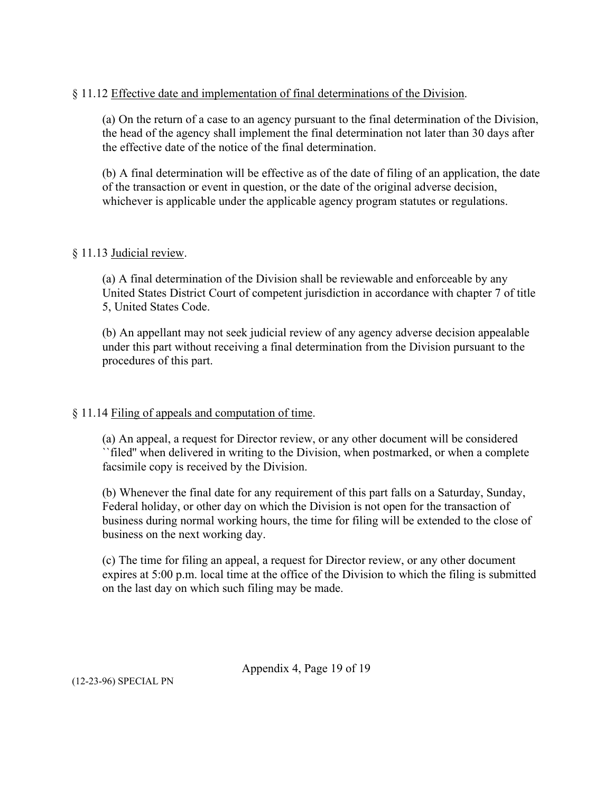### § 11.12 Effective date and implementation of final determinations of the Division.

(a) On the return of a case to an agency pursuant to the final determination of the Division, the head of the agency shall implement the final determination not later than 30 days after the effective date of the notice of the final determination.

(b) A final determination will be effective as of the date of filing of an application, the date of the transaction or event in question, or the date of the original adverse decision, whichever is applicable under the applicable agency program statutes or regulations.

### § 11.13 Judicial review.

(a) A final determination of the Division shall be reviewable and enforceable by any United States District Court of competent jurisdiction in accordance with chapter 7 of title 5, United States Code.

(b) An appellant may not seek judicial review of any agency adverse decision appealable under this part without receiving a final determination from the Division pursuant to the procedures of this part.

### § 11.14 Filing of appeals and computation of time.

(a) An appeal, a request for Director review, or any other document will be considered ``filed'' when delivered in writing to the Division, when postmarked, or when a complete facsimile copy is received by the Division.

(b) Whenever the final date for any requirement of this part falls on a Saturday, Sunday, Federal holiday, or other day on which the Division is not open for the transaction of business during normal working hours, the time for filing will be extended to the close of business on the next working day.

(c) The time for filing an appeal, a request for Director review, or any other document expires at 5:00 p.m. local time at the office of the Division to which the filing is submitted on the last day on which such filing may be made.

Appendix 4, Page 19 of 19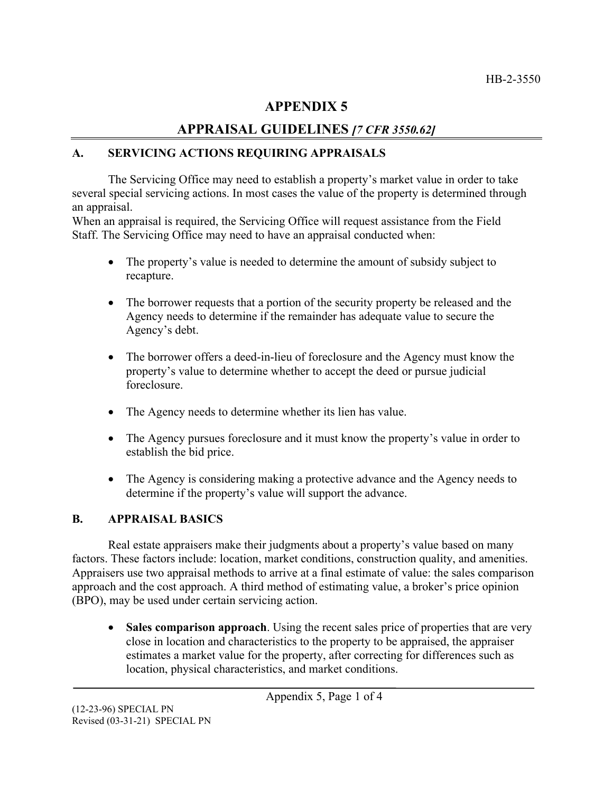# **APPENDIX 5**

# **APPRAISAL GUIDELINES** *[7 CFR 3550.62]*

# **A. SERVICING ACTIONS REQUIRING APPRAISALS**

The Servicing Office may need to establish a property's market value in order to take several special servicing actions. In most cases the value of the property is determined through an appraisal.

When an appraisal is required, the Servicing Office will request assistance from the Field Staff. The Servicing Office may need to have an appraisal conducted when:

- The property's value is needed to determine the amount of subsidy subject to recapture.
- The borrower requests that a portion of the security property be released and the Agency needs to determine if the remainder has adequate value to secure the Agency's debt.
- The borrower offers a deed-in-lieu of foreclosure and the Agency must know the property's value to determine whether to accept the deed or pursue judicial foreclosure.
- The Agency needs to determine whether its lien has value.
- The Agency pursues foreclosure and it must know the property's value in order to establish the bid price.
- The Agency is considering making a protective advance and the Agency needs to determine if the property's value will support the advance.

# **B. APPRAISAL BASICS**

Real estate appraisers make their judgments about a property's value based on many factors. These factors include: location, market conditions, construction quality, and amenities. Appraisers use two appraisal methods to arrive at a final estimate of value: the sales comparison approach and the cost approach. A third method of estimating value, a broker's price opinion (BPO), may be used under certain servicing action.

• **Sales comparison approach**. Using the recent sales price of properties that are very close in location and characteristics to the property to be appraised, the appraiser estimates a market value for the property, after correcting for differences such as location, physical characteristics, and market conditions.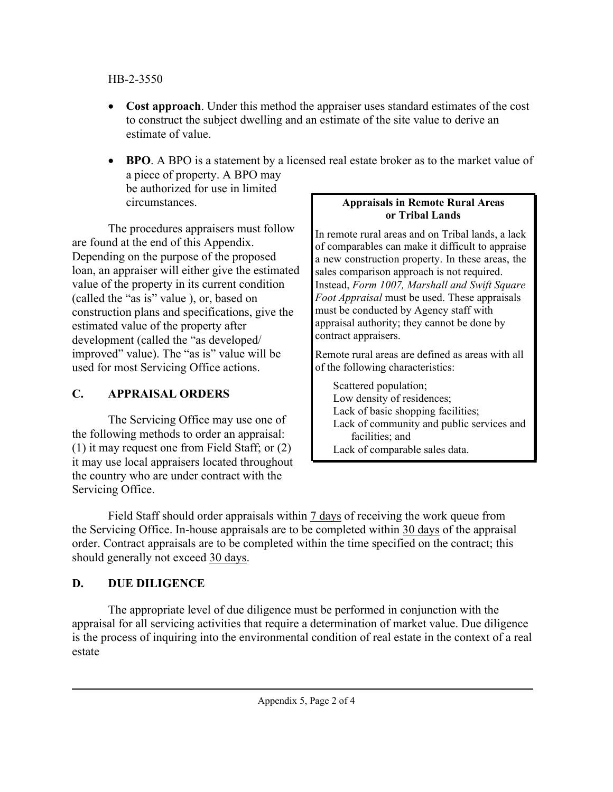# HB-2-3550

- **Cost approach**. Under this method the appraiser uses standard estimates of the cost to construct the subject dwelling and an estimate of the site value to derive an estimate of value.
- **BPO**. A BPO is a statement by a licensed real estate broker as to the market value of a piece of property. A BPO may be authorized for use in limited circumstances.

The procedures appraisers must follow are found at the end of this Appendix. Depending on the purpose of the proposed loan, an appraiser will either give the estimated value of the property in its current condition (called the "as is" value ), or, based on construction plans and specifications, give the estimated value of the property after development (called the "as developed/ improved" value). The "as is" value will be used for most Servicing Office actions.

# **C. APPRAISAL ORDERS**

The Servicing Office may use one of the following methods to order an appraisal: (1) it may request one from Field Staff; or (2) it may use local appraisers located throughout the country who are under contract with the Servicing Office.

# **Appraisals in Remote Rural Areas or Tribal Lands**

In remote rural areas and on Tribal lands, a lack of comparables can make it difficult to appraise a new construction property. In these areas, the sales comparison approach is not required. Instead, *Form 1007, Marshall and Swift Square Foot Appraisal* must be used. These appraisals must be conducted by Agency staff with appraisal authority; they cannot be done by contract appraisers.

Remote rural areas are defined as areas with all of the following characteristics:

Scattered population; Low density of residences; Lack of basic shopping facilities; Lack of community and public services and facilities; and Lack of comparable sales data.

Field Staff should order appraisals within  $\frac{7 \text{ days}}{7}$  of receiving the work queue from the Servicing Office. In-house appraisals are to be completed within 30 days of the appraisal order. Contract appraisals are to be completed within the time specified on the contract; this should generally not exceed 30 days.

# **D. DUE DILIGENCE**

The appropriate level of due diligence must be performed in conjunction with the appraisal for all servicing activities that require a determination of market value. Due diligence is the process of inquiring into the environmental condition of real estate in the context of a real estate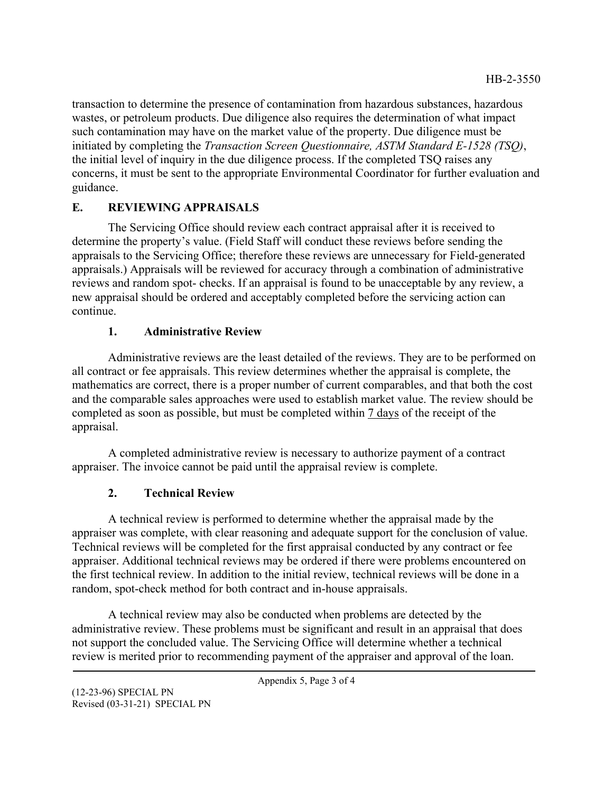transaction to determine the presence of contamination from hazardous substances, hazardous wastes, or petroleum products. Due diligence also requires the determination of what impact such contamination may have on the market value of the property. Due diligence must be initiated by completing the *Transaction Screen Questionnaire, ASTM Standard E-1528 (TSQ)*, the initial level of inquiry in the due diligence process. If the completed TSQ raises any concerns, it must be sent to the appropriate Environmental Coordinator for further evaluation and guidance.

# **E. REVIEWING APPRAISALS**

The Servicing Office should review each contract appraisal after it is received to determine the property's value. (Field Staff will conduct these reviews before sending the appraisals to the Servicing Office; therefore these reviews are unnecessary for Field-generated appraisals.) Appraisals will be reviewed for accuracy through a combination of administrative reviews and random spot- checks. If an appraisal is found to be unacceptable by any review, a new appraisal should be ordered and acceptably completed before the servicing action can continue.

# **1. Administrative Review**

Administrative reviews are the least detailed of the reviews. They are to be performed on all contract or fee appraisals. This review determines whether the appraisal is complete, the mathematics are correct, there is a proper number of current comparables, and that both the cost and the comparable sales approaches were used to establish market value. The review should be completed as soon as possible, but must be completed within 7 days of the receipt of the appraisal.

A completed administrative review is necessary to authorize payment of a contract appraiser. The invoice cannot be paid until the appraisal review is complete.

# **2. Technical Review**

A technical review is performed to determine whether the appraisal made by the appraiser was complete, with clear reasoning and adequate support for the conclusion of value. Technical reviews will be completed for the first appraisal conducted by any contract or fee appraiser. Additional technical reviews may be ordered if there were problems encountered on the first technical review. In addition to the initial review, technical reviews will be done in a random, spot-check method for both contract and in-house appraisals.

A technical review may also be conducted when problems are detected by the administrative review. These problems must be significant and result in an appraisal that does not support the concluded value. The Servicing Office will determine whether a technical review is merited prior to recommending payment of the appraiser and approval of the loan.